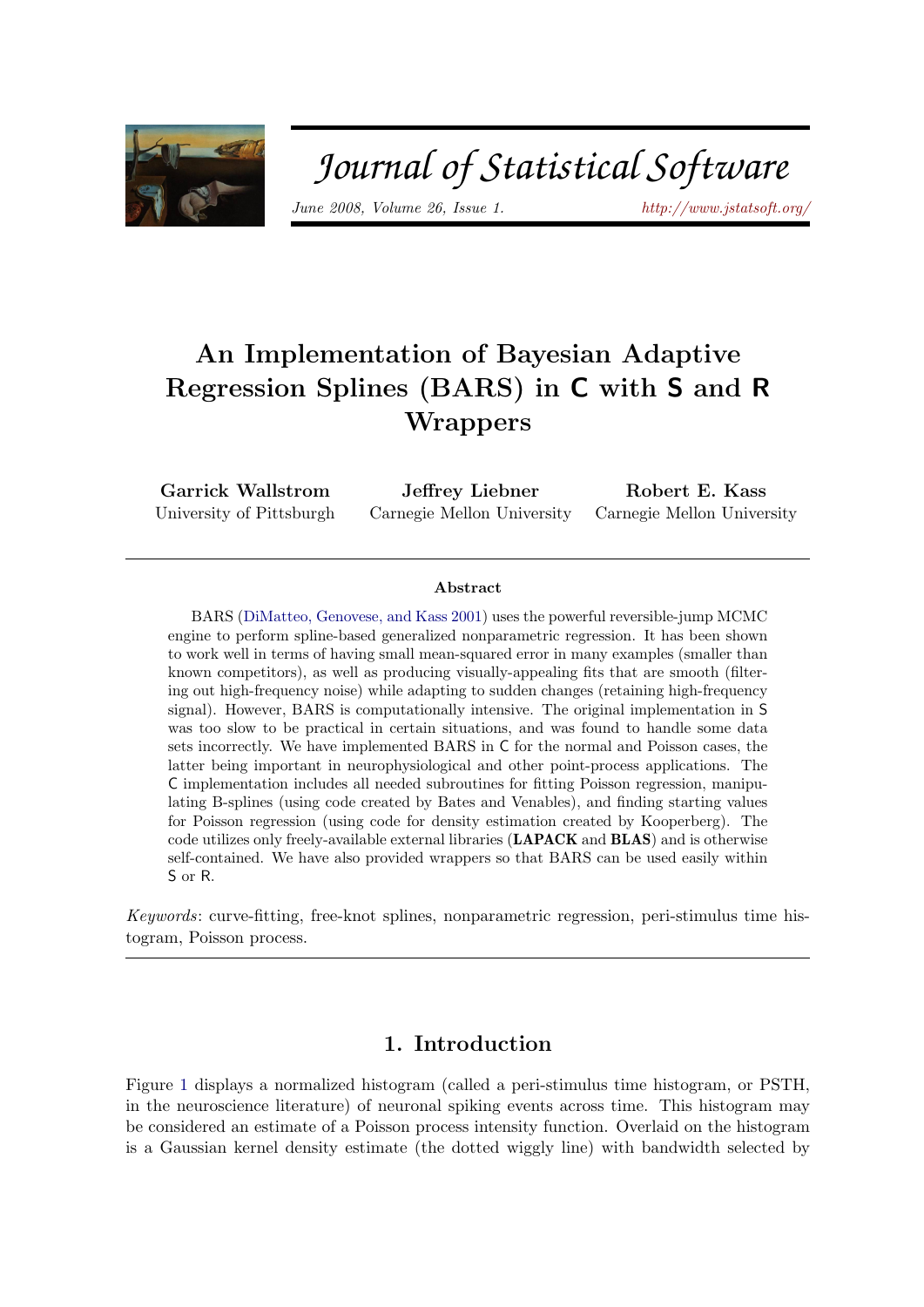

# Journal of Statistical Software

June 2008, Volume 26, Issue 1. <http://www.jstatsoft.org/>

## An Implementation of Bayesian Adaptive Regression Splines (BARS) in C with S and R **Wrappers**

Garrick Wallstrom University of Pittsburgh

Jeffrey Liebner Carnegie Mellon University

Robert E. Kass Carnegie Mellon University

#### Abstract

BARS [\(DiMatteo, Genovese, and Kass](#page-18-0) [2001\)](#page-18-0) uses the powerful reversible-jump MCMC engine to perform spline-based generalized nonparametric regression. It has been shown to work well in terms of having small mean-squared error in many examples (smaller than known competitors), as well as producing visually-appealing fits that are smooth (filtering out high-frequency noise) while adapting to sudden changes (retaining high-frequency signal). However, BARS is computationally intensive. The original implementation in S was too slow to be practical in certain situations, and was found to handle some data sets incorrectly. We have implemented BARS in C for the normal and Poisson cases, the latter being important in neurophysiological and other point-process applications. The C implementation includes all needed subroutines for fitting Poisson regression, manipulating B-splines (using code created by Bates and Venables), and finding starting values for Poisson regression (using code for density estimation created by Kooperberg). The code utilizes only freely-available external libraries (LAPACK and BLAS) and is otherwise self-contained. We have also provided wrappers so that BARS can be used easily within S or R.

Keywords: curve-fitting, free-knot splines, nonparametric regression, peri-stimulus time histogram, Poisson process.

## 1. Introduction

<span id="page-0-0"></span>Figure [1](#page-0-0) displays a normalized histogram (called a peri-stimulus time histogram, or PSTH, in the neuroscience literature) of neuronal spiking events across time. This histogram may be considered an estimate of a Poisson process intensity function. Overlaid on the histogram is a Gaussian kernel density estimate (the dotted wiggly line) with bandwidth selected by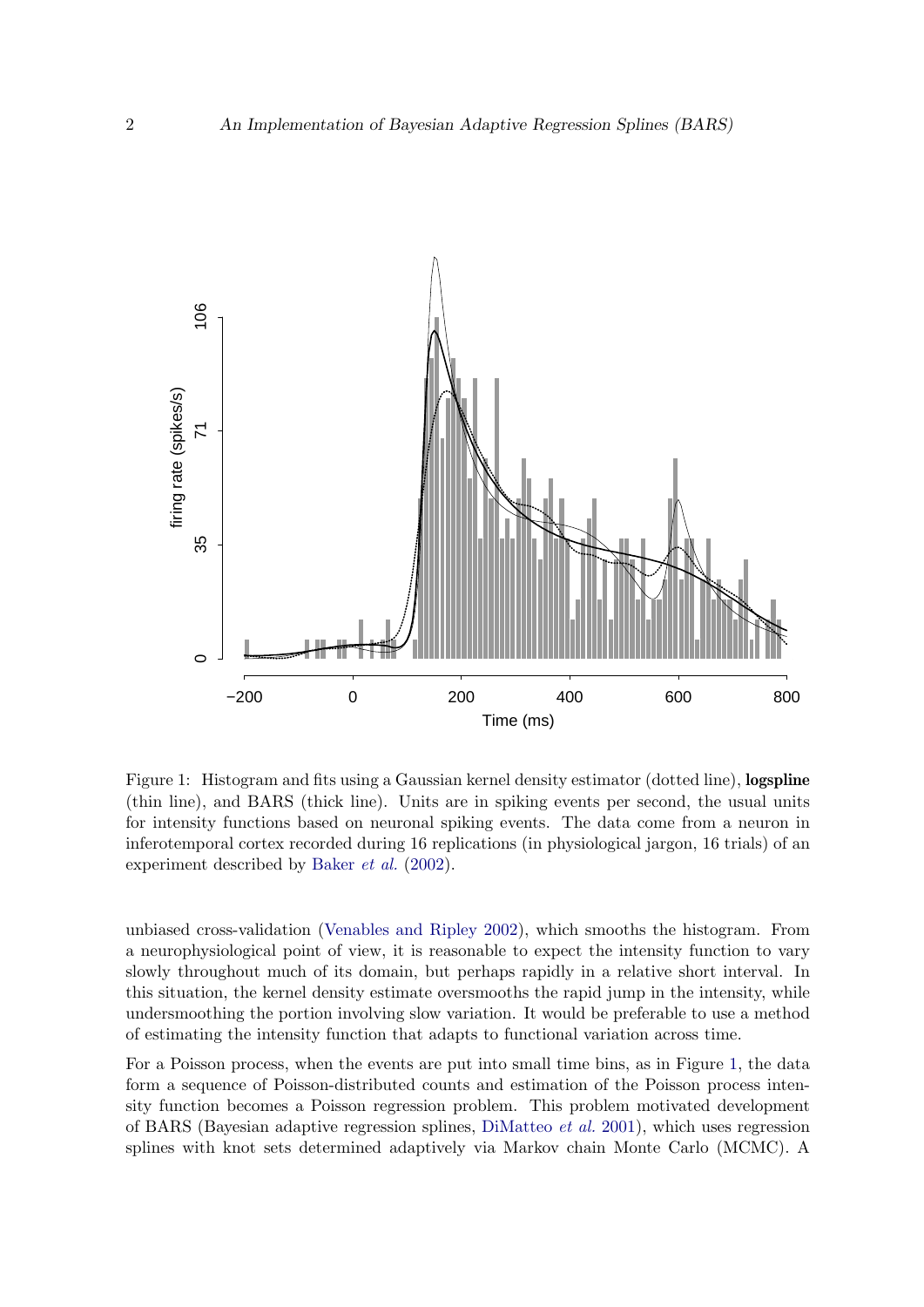

Figure 1: Histogram and fits using a Gaussian kernel density estimator (dotted line), **logspline** (thin line), and BARS (thick line). Units are in spiking events per second, the usual units for intensity functions based on neuronal spiking events. The data come from a neuron in inferotemporal cortex recorded during 16 replications (in physiological jargon, 16 trials) of an experiment described by [Baker](#page-18-1) et al. [\(2002\)](#page-18-1).

unbiased cross-validation [\(Venables and Ripley](#page-19-0) [2002\)](#page-19-0), which smooths the histogram. From a neurophysiological point of view, it is reasonable to expect the intensity function to vary slowly throughout much of its domain, but perhaps rapidly in a relative short interval. In this situation, the kernel density estimate oversmooths the rapid jump in the intensity, while undersmoothing the portion involving slow variation. It would be preferable to use a method of estimating the intensity function that adapts to functional variation across time.

For a Poisson process, when the events are put into small time bins, as in Figure [1,](#page-0-0) the data form a sequence of Poisson-distributed counts and estimation of the Poisson process intensity function becomes a Poisson regression problem. This problem motivated development of BARS (Bayesian adaptive regression splines, [DiMatteo](#page-18-0) et al. [2001\)](#page-18-0), which uses regression splines with knot sets determined adaptively via Markov chain Monte Carlo (MCMC). A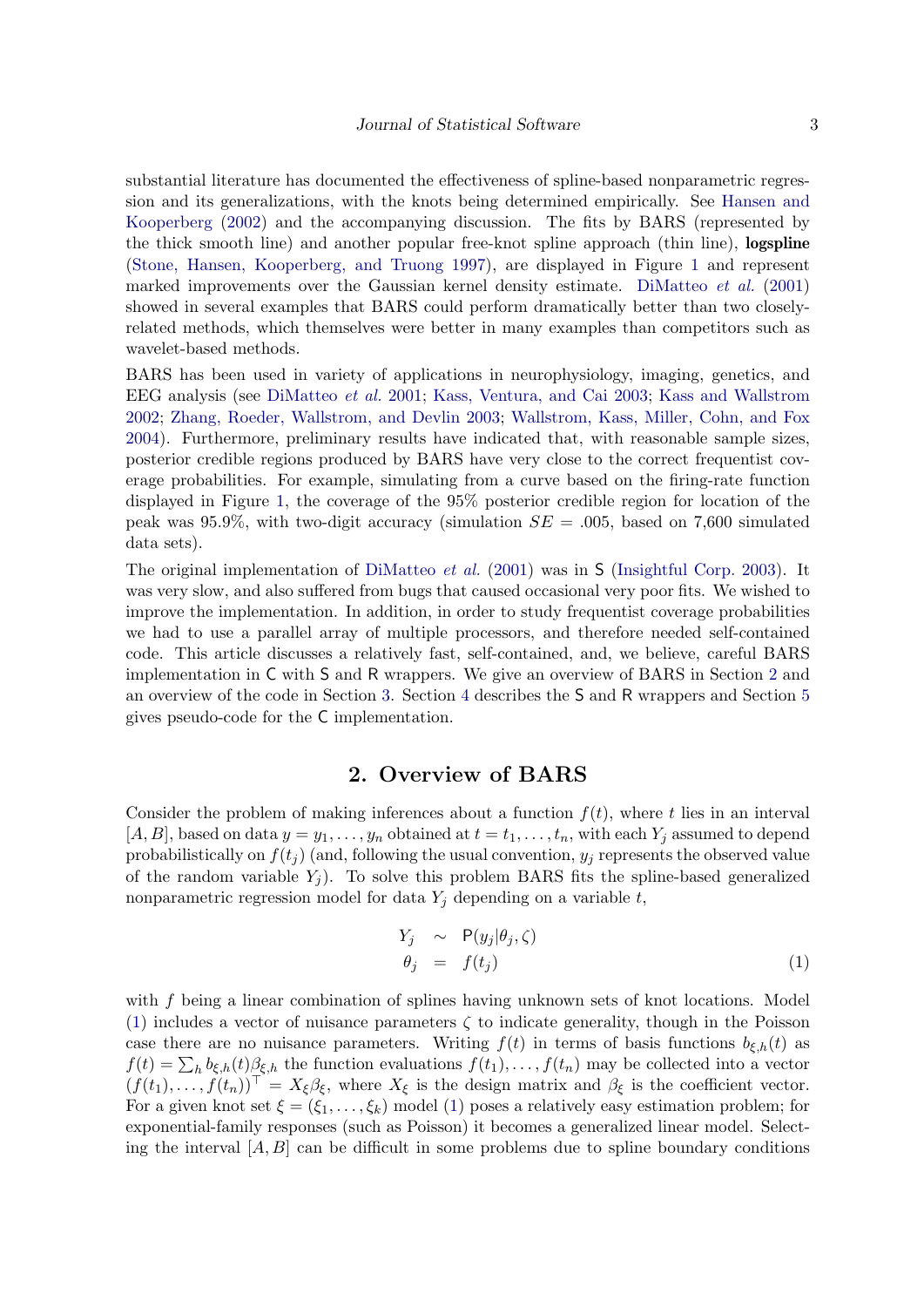substantial literature has documented the effectiveness of spline-based nonparametric regression and its generalizations, with the knots being determined empirically. See [Hansen and](#page-19-1) [Kooperberg](#page-19-1) [\(2002\)](#page-19-1) and the accompanying discussion. The fits by BARS (represented by the thick smooth line) and another popular free-knot spline approach (thin line), logspline [\(Stone, Hansen, Kooperberg, and Truong](#page-19-2) [1997\)](#page-19-2), are displayed in Figure [1](#page-0-0) and represent marked improvements over the Gaussian kernel density estimate. [DiMatteo](#page-18-0) et al. [\(2001\)](#page-18-0) showed in several examples that BARS could perform dramatically better than two closelyrelated methods, which themselves were better in many examples than competitors such as wavelet-based methods.

BARS has been used in variety of applications in neurophysiology, imaging, genetics, and EEG analysis (see [DiMatteo](#page-18-0) et al. [2001;](#page-18-0) [Kass, Ventura, and Cai](#page-19-3) [2003;](#page-19-3) [Kass and Wallstrom](#page-19-4) [2002;](#page-19-4) [Zhang, Roeder, Wallstrom, and Devlin](#page-20-0) [2003;](#page-20-0) [Wallstrom, Kass, Miller, Cohn, and Fox](#page-20-1) [2004\)](#page-20-1). Furthermore, preliminary results have indicated that, with reasonable sample sizes, posterior credible regions produced by BARS have very close to the correct frequentist coverage probabilities. For example, simulating from a curve based on the firing-rate function displayed in Figure [1,](#page-0-0) the coverage of the 95% posterior credible region for location of the peak was 95.9%, with two-digit accuracy (simulation  $SE = .005$ , based on 7,600 simulated data sets).

The original implementation of [DiMatteo](#page-18-0) et al. [\(2001\)](#page-18-0) was in S [\(Insightful Corp.](#page-19-5) [2003\)](#page-19-5). It was very slow, and also suffered from bugs that caused occasional very poor fits. We wished to improve the implementation. In addition, in order to study frequentist coverage probabilities we had to use a parallel array of multiple processors, and therefore needed self-contained code. This article discusses a relatively fast, self-contained, and, we believe, careful BARS implementation in C with S and R wrappers. We give an overview of BARS in Section [2](#page-2-0) and an overview of the code in Section [3.](#page-5-0) Section [4](#page-10-0) describes the S and R wrappers and Section [5](#page-12-0) gives pseudo-code for the C implementation.

## 2. Overview of BARS

<span id="page-2-0"></span>Consider the problem of making inferences about a function  $f(t)$ , where t lies in an interval  $[A, B]$ , based on data  $y = y_1, \ldots, y_n$  obtained at  $t = t_1, \ldots, t_n$ , with each  $Y_j$  assumed to depend probabilistically on  $f(t_i)$  (and, following the usual convention,  $y_i$  represents the observed value of the random variable  $Y_i$ ). To solve this problem BARS fits the spline-based generalized nonparametric regression model for data  $Y_i$  depending on a variable  $t$ ,

<span id="page-2-1"></span>
$$
Y_j \sim P(y_j|\theta_j, \zeta) \n\theta_j = f(t_j)
$$
\n(1)

with f being a linear combination of splines having unknown sets of knot locations. Model [\(1\)](#page-2-1) includes a vector of nuisance parameters  $\zeta$  to indicate generality, though in the Poisson case there are no nuisance parameters. Writing  $f(t)$  in terms of basis functions  $b_{\xi,h}(t)$  as  $f(t) = \sum_h b_{\xi,h}(t) \beta_{\xi,h}$  the function evaluations  $f(t_1), \ldots, f(t_n)$  may be collected into a vector  $(f(t_1),..., f(t_n))^{\top} = X_{\xi} \beta_{\xi}$ , where  $X_{\xi}$  is the design matrix and  $\beta_{\xi}$  is the coefficient vector. For a given knot set  $\xi = (\xi_1, \ldots, \xi_k)$  model [\(1\)](#page-2-1) poses a relatively easy estimation problem; for exponential-family responses (such as Poisson) it becomes a generalized linear model. Selecting the interval  $[A, B]$  can be difficult in some problems due to spline boundary conditions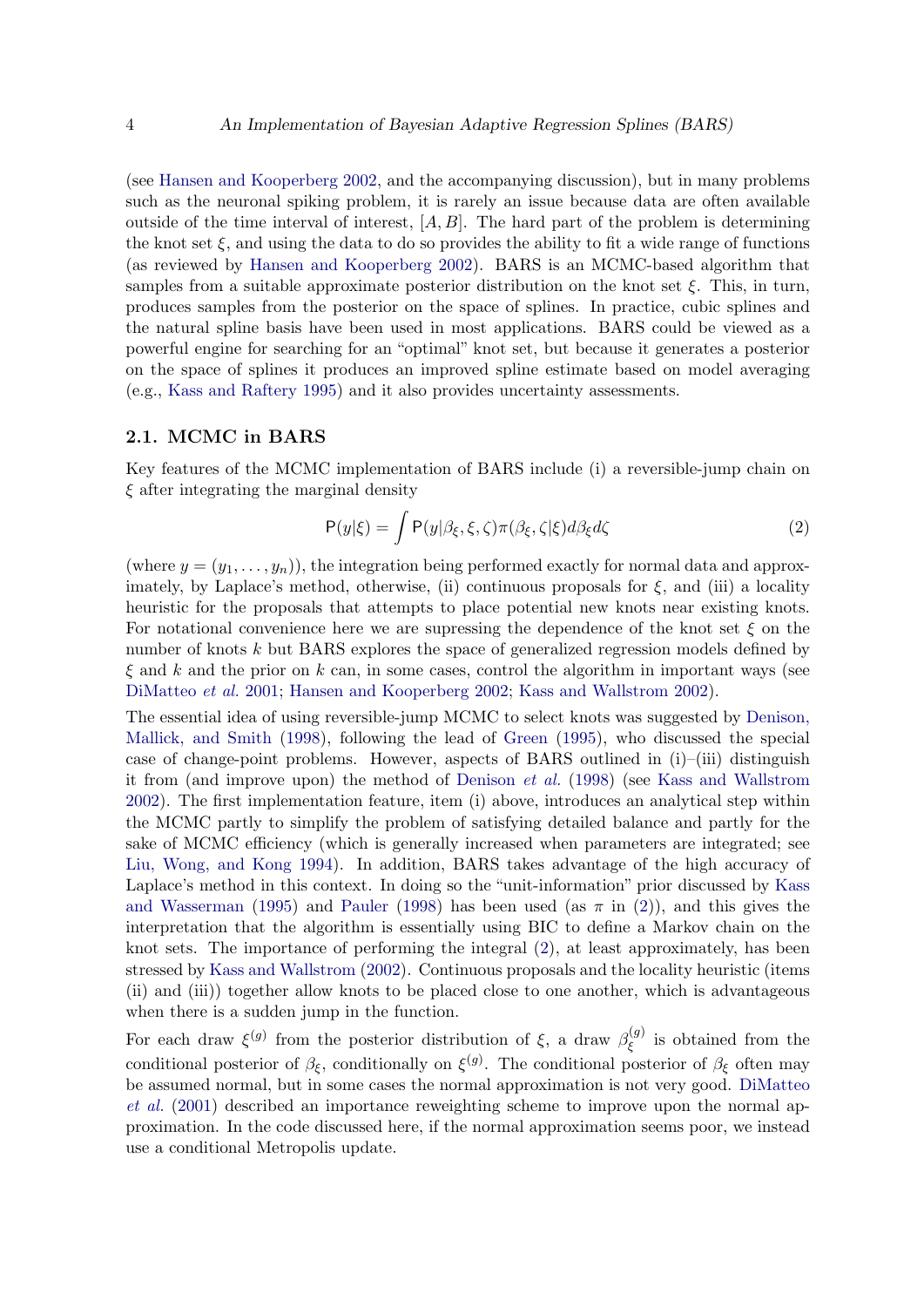(see [Hansen and Kooperberg](#page-19-1) [2002,](#page-19-1) and the accompanying discussion), but in many problems such as the neuronal spiking problem, it is rarely an issue because data are often available outside of the time interval of interest,  $[A, B]$ . The hard part of the problem is determining the knot set  $\xi$ , and using the data to do so provides the ability to fit a wide range of functions (as reviewed by [Hansen and Kooperberg](#page-19-1) [2002\)](#page-19-1). BARS is an MCMC-based algorithm that samples from a suitable approximate posterior distribution on the knot set  $\xi$ . This, in turn, produces samples from the posterior on the space of splines. In practice, cubic splines and the natural spline basis have been used in most applications. BARS could be viewed as a powerful engine for searching for an "optimal" knot set, but because it generates a posterior on the space of splines it produces an improved spline estimate based on model averaging (e.g., [Kass and Raftery](#page-19-6) [1995\)](#page-19-6) and it also provides uncertainty assessments.

#### 2.1. MCMC in BARS

Key features of the MCMC implementation of BARS include (i) a reversible-jump chain on  $\xi$  after integrating the marginal density

<span id="page-3-0"></span>
$$
P(y|\xi) = \int P(y|\beta_{\xi}, \xi, \zeta) \pi(\beta_{\xi}, \zeta|\xi) d\beta_{\xi} d\zeta
$$
 (2)

(where  $y = (y_1, \ldots, y_n)$ ), the integration being performed exactly for normal data and approximately, by Laplace's method, otherwise, (ii) continuous proposals for  $\xi$ , and (iii) a locality heuristic for the proposals that attempts to place potential new knots near existing knots. For notational convenience here we are supressing the dependence of the knot set  $\xi$  on the number of knots k but BARS explores the space of generalized regression models defined by  $\xi$  and k and the prior on k can, in some cases, control the algorithm in important ways (see [DiMatteo](#page-18-0) et al. [2001;](#page-18-0) [Hansen and Kooperberg](#page-19-1) [2002;](#page-19-1) [Kass and Wallstrom](#page-19-4) [2002\)](#page-19-4).

The essential idea of using reversible-jump MCMC to select knots was suggested by [Denison,](#page-18-2) [Mallick, and Smith](#page-18-2) [\(1998\)](#page-18-2), following the lead of [Green](#page-19-7) [\(1995\)](#page-19-7), who discussed the special case of change-point problems. However, aspects of BARS outlined in (i)–(iii) distinguish it from (and improve upon) the method of [Denison](#page-18-2) et al. [\(1998\)](#page-18-2) (see [Kass and Wallstrom](#page-19-4) [2002\)](#page-19-4). The first implementation feature, item (i) above, introduces an analytical step within the MCMC partly to simplify the problem of satisfying detailed balance and partly for the sake of MCMC efficiency (which is generally increased when parameters are integrated; see [Liu, Wong, and Kong](#page-19-8) [1994\)](#page-19-8). In addition, BARS takes advantage of the high accuracy of Laplace's method in this context. In doing so the "unit-information" prior discussed by [Kass](#page-19-9) [and Wasserman](#page-19-9) [\(1995\)](#page-19-9) and [Pauler](#page-19-10) [\(1998\)](#page-19-10) has been used (as  $\pi$  in [\(2\)](#page-3-0)), and this gives the interpretation that the algorithm is essentially using BIC to define a Markov chain on the knot sets. The importance of performing the integral [\(2\)](#page-3-0), at least approximately, has been stressed by [Kass and Wallstrom](#page-19-4) [\(2002\)](#page-19-4). Continuous proposals and the locality heuristic (items (ii) and (iii)) together allow knots to be placed close to one another, which is advantageous when there is a sudden jump in the function.

For each draw  $\xi^{(g)}$  from the posterior distribution of  $\xi$ , a draw  $\beta_{\xi}^{(g)}$  $\zeta_{\xi}^{(g)}$  is obtained from the conditional posterior of  $\beta_{\xi}$ , conditionally on  $\xi^{(g)}$ . The conditional posterior of  $\beta_{\xi}$  often may be assumed normal, but in some cases the normal approximation is not very good. [DiMatteo](#page-18-0) [et al.](#page-18-0) [\(2001\)](#page-18-0) described an importance reweighting scheme to improve upon the normal approximation. In the code discussed here, if the normal approximation seems poor, we instead use a conditional Metropolis update.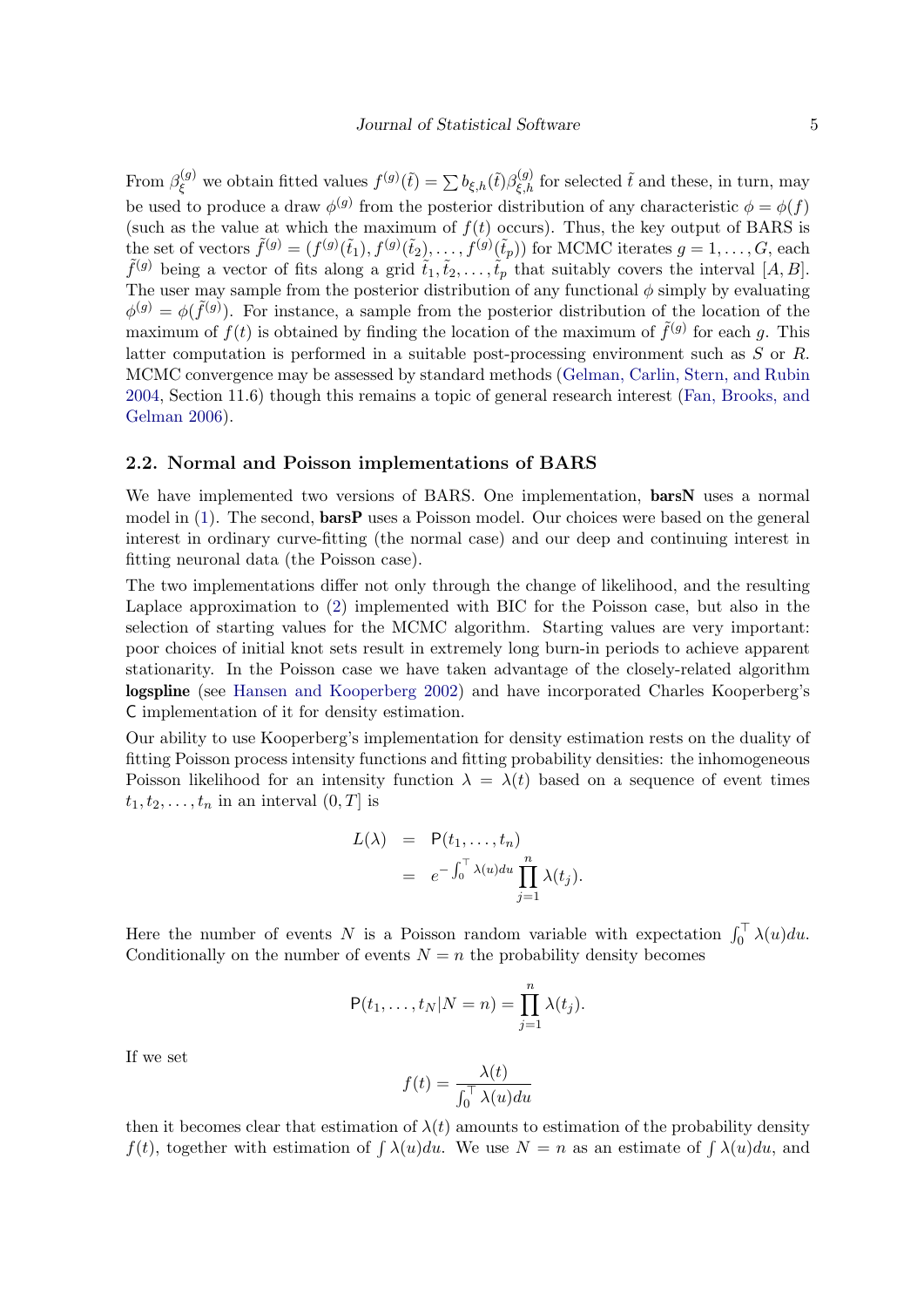From  $\beta_{\xi}^{(g)}$  we obtain fitted values  $f^{(g)}(\tilde{t}) = \sum b_{\xi,h}(\tilde{t}) \beta_{\xi,h}^{(g)}$  for selected  $\tilde{t}$  and these, in turn, may be used to produce a draw  $\phi^{(g)}$  from the posterior distribution of any characteristic  $\phi = \phi(f)$ (such as the value at which the maximum of  $f(t)$  occurs). Thus, the key output of BARS is the set of vectors  $\tilde{f}^{(g)} = (f^{(g)}(\tilde{t}_1), f^{(g)}(\tilde{t}_2), \dots, f^{(g)}(\tilde{t}_p))$  for MCMC iterates  $g = 1, \dots, G$ , each  $\tilde{f}^{(g)}$  being a vector of fits along a grid  $\tilde{t}_1, \tilde{t}_2, \ldots, \tilde{t}_p$  that suitably covers the interval  $[A, B]$ . The user may sample from the posterior distribution of any functional  $\phi$  simply by evaluating  $\phi^{(g)} = \phi(\tilde{f}^{(g)})$ . For instance, a sample from the posterior distribution of the location of the maximum of  $f(t)$  is obtained by finding the location of the maximum of  $\tilde{f}^{(g)}$  for each g. This latter computation is performed in a suitable post-processing environment such as S or R. MCMC convergence may be assessed by standard methods [\(Gelman, Carlin, Stern, and Rubin](#page-19-11) [2004,](#page-19-11) Section 11.6) though this remains a topic of general research interest [\(Fan, Brooks, and](#page-19-12) [Gelman](#page-19-12) [2006\)](#page-19-12).

#### 2.2. Normal and Poisson implementations of BARS

We have implemented two versions of BARS. One implementation, **barsN** uses a normal model in  $(1)$ . The second, **barsP** uses a Poisson model. Our choices were based on the general interest in ordinary curve-fitting (the normal case) and our deep and continuing interest in fitting neuronal data (the Poisson case).

The two implementations differ not only through the change of likelihood, and the resulting Laplace approximation to [\(2\)](#page-3-0) implemented with BIC for the Poisson case, but also in the selection of starting values for the MCMC algorithm. Starting values are very important: poor choices of initial knot sets result in extremely long burn-in periods to achieve apparent stationarity. In the Poisson case we have taken advantage of the closely-related algorithm logspline (see [Hansen and Kooperberg](#page-19-1) [2002\)](#page-19-1) and have incorporated Charles Kooperberg's C implementation of it for density estimation.

Our ability to use Kooperberg's implementation for density estimation rests on the duality of fitting Poisson process intensity functions and fitting probability densities: the inhomogeneous Poisson likelihood for an intensity function  $\lambda = \lambda(t)$  based on a sequence of event times  $t_1, t_2, \ldots, t_n$  in an interval  $(0, T]$  is

$$
L(\lambda) = P(t_1, ..., t_n)
$$
  
=  $e^{-\int_0^{\top} \lambda(u) du} \prod_{j=1}^n \lambda(t_j).$ 

Here the number of events N is a Poisson random variable with expectation  $\int_0^{\top} \lambda(u) du$ . Conditionally on the number of events  $N = n$  the probability density becomes

$$
P(t_1,\ldots,t_N|N=n)=\prod_{j=1}^n\lambda(t_j).
$$

If we set

$$
f(t) = \frac{\lambda(t)}{\int_0^{\top} \lambda(u) du}
$$

then it becomes clear that estimation of  $\lambda(t)$  amounts to estimation of the probability density  $f(t)$ , together with estimation of  $\int \lambda(u)du$ . We use  $N = n$  as an estimate of  $\int \lambda(u)du$ , and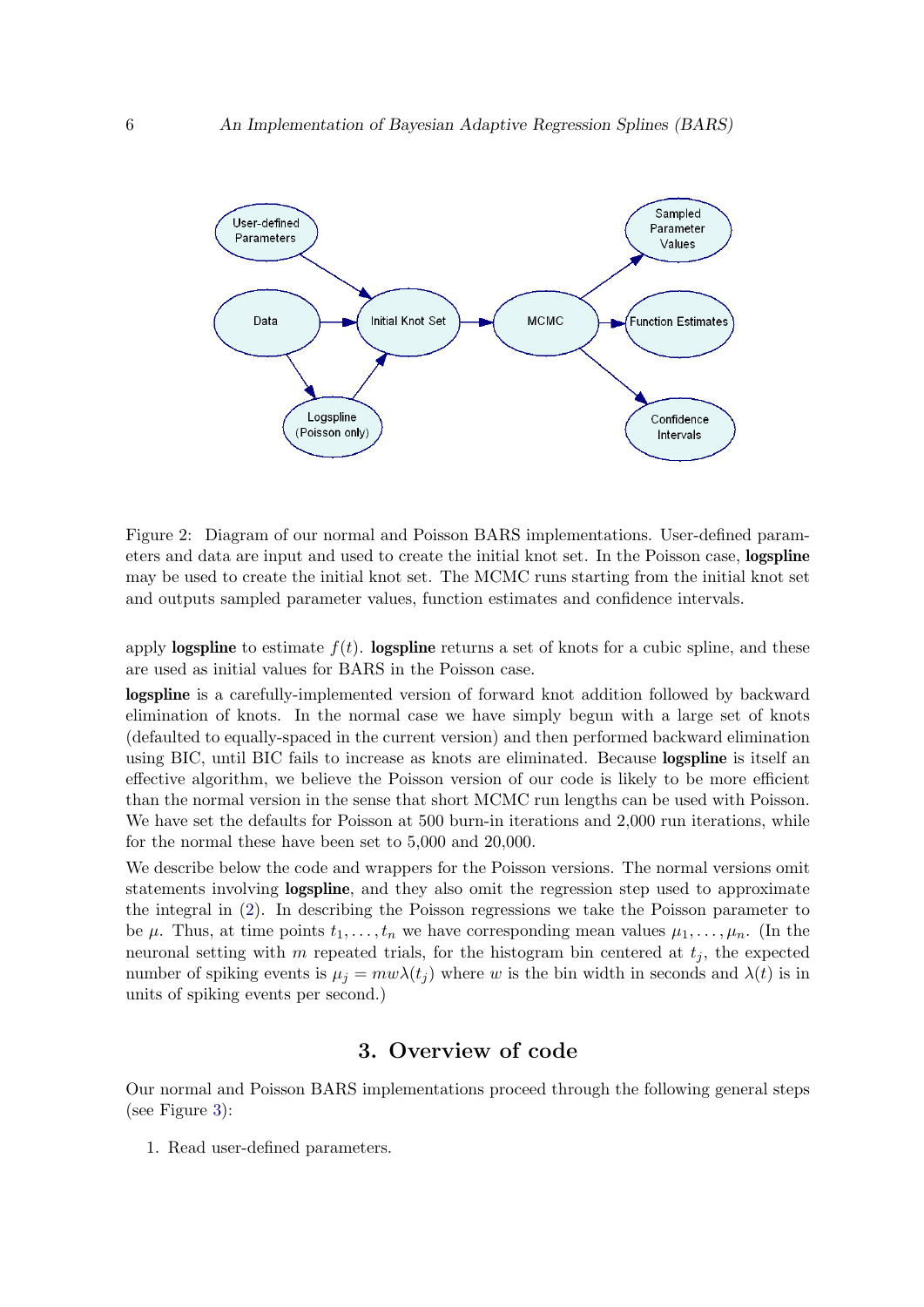

Figure 2: Diagram of our normal and Poisson BARS implementations. User-defined parameters and data are input and used to create the initial knot set. In the Poisson case, logspline may be used to create the initial knot set. The MCMC runs starting from the initial knot set and outputs sampled parameter values, function estimates and confidence intervals.

apply **logspline** to estimate  $f(t)$ . **logspline** returns a set of knots for a cubic spline, and these are used as initial values for BARS in the Poisson case.

logspline is a carefully-implemented version of forward knot addition followed by backward elimination of knots. In the normal case we have simply begun with a large set of knots (defaulted to equally-spaced in the current version) and then performed backward elimination using BIC, until BIC fails to increase as knots are eliminated. Because logspline is itself an effective algorithm, we believe the Poisson version of our code is likely to be more efficient than the normal version in the sense that short MCMC run lengths can be used with Poisson. We have set the defaults for Poisson at 500 burn-in iterations and 2,000 run iterations, while for the normal these have been set to 5,000 and 20,000.

We describe below the code and wrappers for the Poisson versions. The normal versions omit statements involving **logspline**, and they also omit the regression step used to approximate the integral in [\(2\)](#page-3-0). In describing the Poisson regressions we take the Poisson parameter to be  $\mu$ . Thus, at time points  $t_1, \ldots, t_n$  we have corresponding mean values  $\mu_1, \ldots, \mu_n$ . (In the neuronal setting with m repeated trials, for the histogram bin centered at  $t_i$ , the expected number of spiking events is  $\mu_j = mw\lambda(t_j)$  where w is the bin width in seconds and  $\lambda(t)$  is in units of spiking events per second.)

## 3. Overview of code

<span id="page-5-0"></span>Our normal and Poisson BARS implementations proceed through the following general steps (see Figure [3\)](#page-5-0):

1. Read user-defined parameters.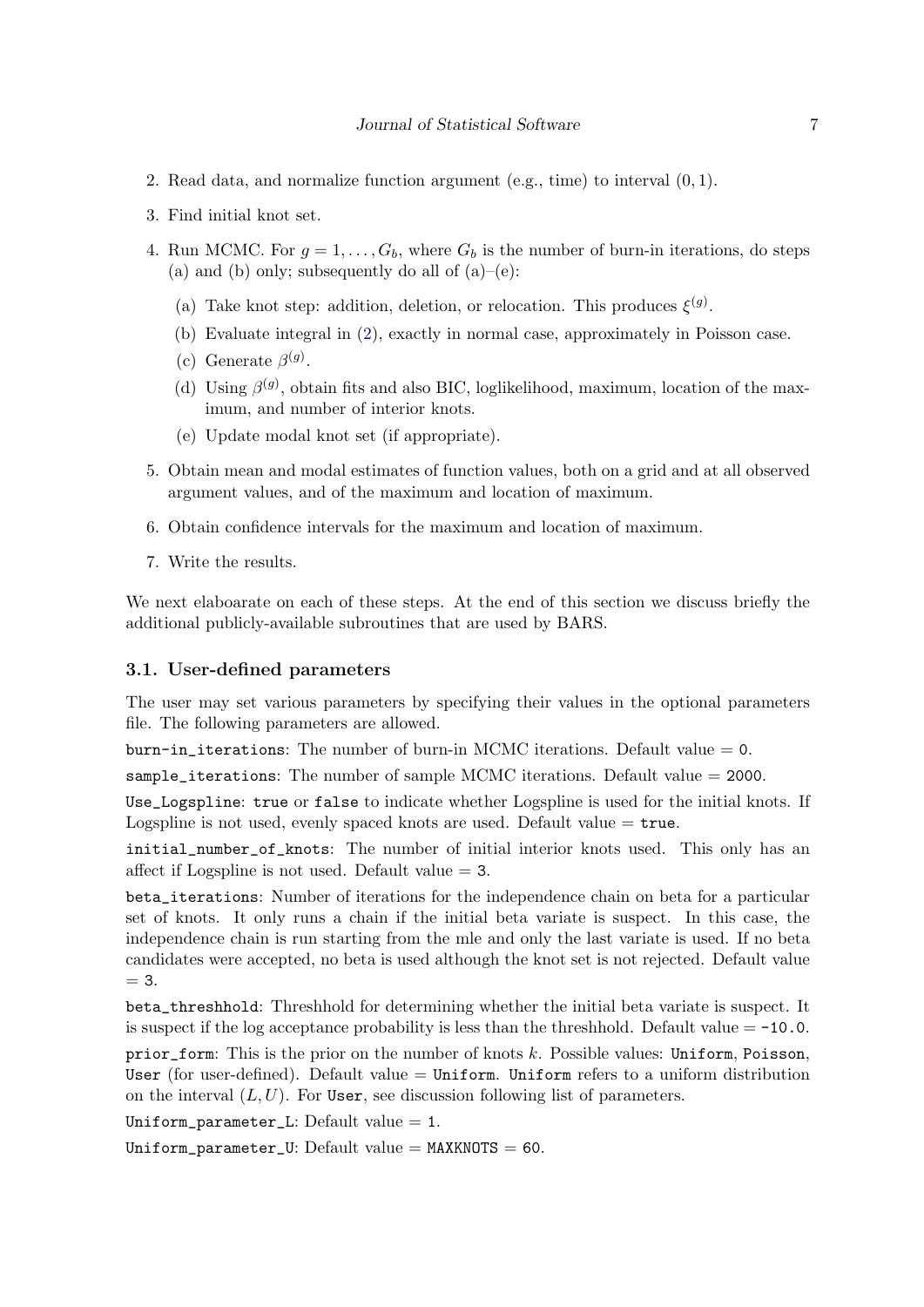- 2. Read data, and normalize function argument (e.g., time) to interval (0, 1).
- 3. Find initial knot set.
- 4. Run MCMC. For  $q = 1, \ldots, G_b$ , where  $G_b$  is the number of burn-in iterations, do steps (a) and (b) only; subsequently do all of  $(a)$ – $(e)$ :
	- (a) Take knot step: addition, deletion, or relocation. This produces  $\xi^{(g)}$ .
	- (b) Evaluate integral in [\(2\)](#page-3-0), exactly in normal case, approximately in Poisson case.
	- (c) Generate  $\beta^{(g)}$ .
	- (d) Using  $\beta^{(g)}$ , obtain fits and also BIC, loglikelihood, maximum, location of the maximum, and number of interior knots.
	- (e) Update modal knot set (if appropriate).
- 5. Obtain mean and modal estimates of function values, both on a grid and at all observed argument values, and of the maximum and location of maximum.
- 6. Obtain confidence intervals for the maximum and location of maximum.
- 7. Write the results.

We next elaboarate on each of these steps. At the end of this section we discuss briefly the additional publicly-available subroutines that are used by BARS.

#### 3.1. User-defined parameters

The user may set various parameters by specifying their values in the optional parameters file. The following parameters are allowed.

burn-in\_iterations: The number of burn-in MCMC iterations. Default value  $= 0$ .

sample\_iterations: The number of sample MCMC iterations. Default value  $= 2000$ .

Use\_Logspline: true or false to indicate whether Logspline is used for the initial knots. If Logspline is not used, evenly spaced knots are used. Default value  $=$  true.

initial number of knots: The number of initial interior knots used. This only has an affect if Logspline is not used. Default value  $=$  3.

beta\_iterations: Number of iterations for the independence chain on beta for a particular set of knots. It only runs a chain if the initial beta variate is suspect. In this case, the independence chain is run starting from the mle and only the last variate is used. If no beta candidates were accepted, no beta is used although the knot set is not rejected. Default value  $= 3.$ 

beta\_threshhold: Threshhold for determining whether the initial beta variate is suspect. It is suspect if the log acceptance probability is less than the threshhold. Default value  $= -10.0$ . prior form: This is the prior on the number of knots k. Possible values: Uniform, Poisson, User (for user-defined). Default value  $=$  Uniform. Uniform refers to a uniform distribution on the interval  $(L, U)$ . For User, see discussion following list of parameters.

Uniform\_parameter\_L: Default value  $= 1$ .

Uniform\_parameter\_U: Default value =  $MAXKNOTS = 60$ .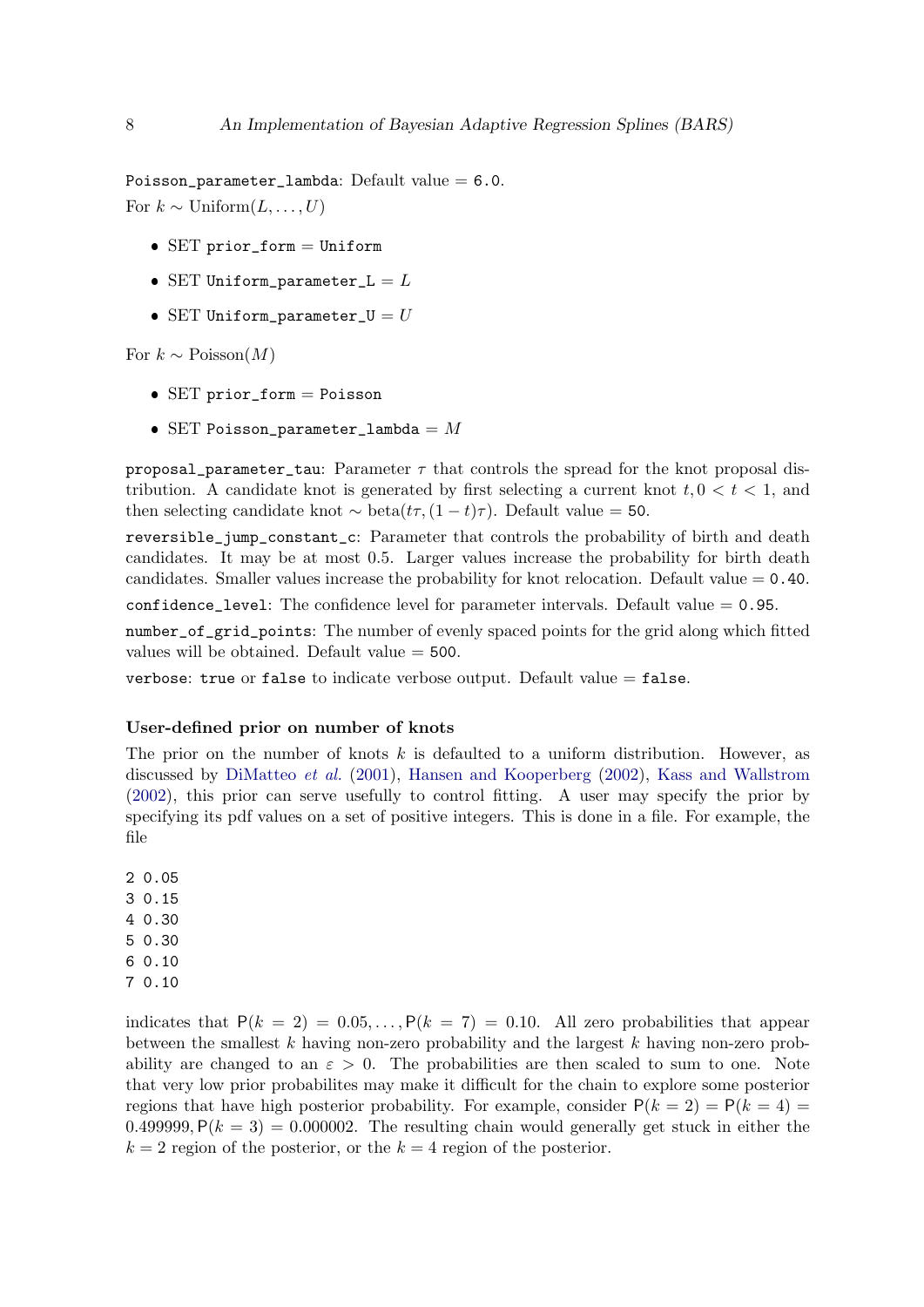Poisson\_parameter\_lambda: Default value  $= 6.0$ . For  $k \sim \text{Uniform}(L, \ldots, U)$ 

- SET prior\_form = Uniform
- SET Uniform\_parameter\_ $L = L$
- SET Uniform\_parameter\_U =  $U$

For  $k \sim \text{Poisson}(M)$ 

- $\bullet$  SET prior\_form = Poisson
- SET Poisson\_parameter\_lambda =  $M$

proposal parameter tau: Parameter  $\tau$  that controls the spread for the knot proposal distribution. A candidate knot is generated by first selecting a current knot  $t, 0 < t < 1$ , and then selecting candidate knot  $\sim$  beta $(t\tau,(1-t)\tau)$ . Default value = 50.

reversible\_jump\_constant\_c: Parameter that controls the probability of birth and death candidates. It may be at most 0.5. Larger values increase the probability for birth death candidates. Smaller values increase the probability for knot relocation. Default value  $= 0.40$ .

confidence level: The confidence level for parameter intervals. Default value  $= 0.95$ .

number\_of\_grid\_points: The number of evenly spaced points for the grid along which fitted values will be obtained. Default value = 500.

verbose: true or false to indicate verbose output. Default value  $=$  false.

#### User-defined prior on number of knots

The prior on the number of knots  $k$  is defaulted to a uniform distribution. However, as discussed by [DiMatteo](#page-18-0) et al. [\(2001\)](#page-18-0), [Hansen and Kooperberg](#page-19-1) [\(2002\)](#page-19-1), [Kass and Wallstrom](#page-19-4) [\(2002\)](#page-19-4), this prior can serve usefully to control fitting. A user may specify the prior by specifying its pdf values on a set of positive integers. This is done in a file. For example, the file

2 0.05 3 0.15 4 0.30 5 0.30 6 0.10 7 0.10

indicates that  $P(k = 2) = 0.05,..., P(k = 7) = 0.10$ . All zero probabilities that appear between the smallest  $k$  having non-zero probability and the largest  $k$  having non-zero probability are changed to an  $\varepsilon > 0$ . The probabilities are then scaled to sum to one. Note that very low prior probabilites may make it difficult for the chain to explore some posterior regions that have high posterior probability. For example, consider  $P(k = 2) = P(k = 4)$ 0.499999,  $P(k = 3) = 0.000002$ . The resulting chain would generally get stuck in either the  $k = 2$  region of the posterior, or the  $k = 4$  region of the posterior.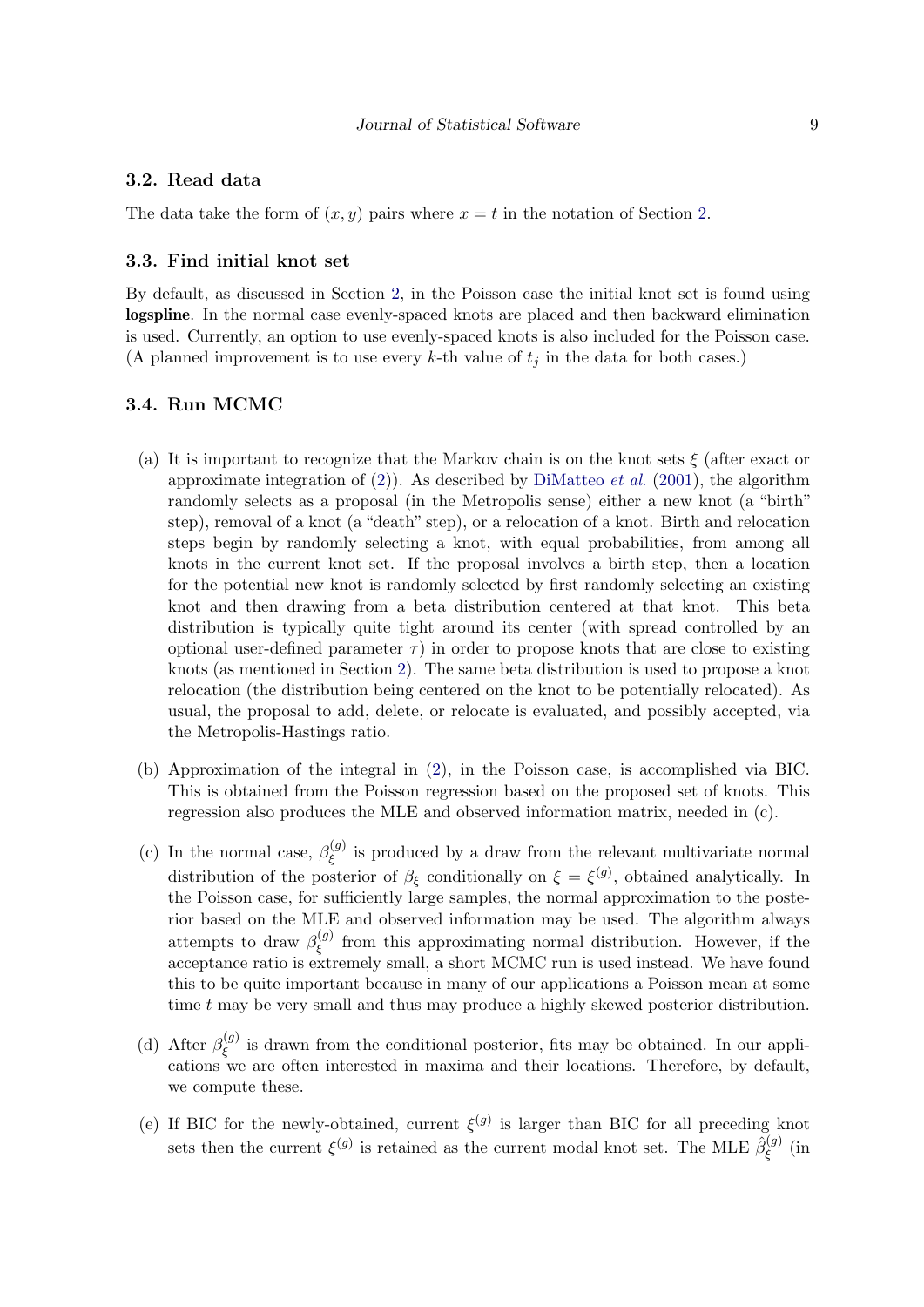#### 3.2. Read data

The data take the form of  $(x, y)$  pairs where  $x = t$  in the notation of Section [2.](#page-2-0)

#### 3.3. Find initial knot set

By default, as discussed in Section [2,](#page-2-0) in the Poisson case the initial knot set is found using logspline. In the normal case evenly-spaced knots are placed and then backward elimination is used. Currently, an option to use evenly-spaced knots is also included for the Poisson case. (A planned improvement is to use every  $k$ -th value of  $t_j$  in the data for both cases.)

#### 3.4. Run MCMC

- (a) It is important to recognize that the Markov chain is on the knot sets  $\xi$  (after exact or approximate integration of [\(2\)](#page-3-0)). As described by [DiMatteo](#page-18-0) *et al.* [\(2001\)](#page-18-0), the algorithm randomly selects as a proposal (in the Metropolis sense) either a new knot (a "birth" step), removal of a knot (a "death" step), or a relocation of a knot. Birth and relocation steps begin by randomly selecting a knot, with equal probabilities, from among all knots in the current knot set. If the proposal involves a birth step, then a location for the potential new knot is randomly selected by first randomly selecting an existing knot and then drawing from a beta distribution centered at that knot. This beta distribution is typically quite tight around its center (with spread controlled by an optional user-defined parameter  $\tau$ ) in order to propose knots that are close to existing knots (as mentioned in Section [2\)](#page-2-0). The same beta distribution is used to propose a knot relocation (the distribution being centered on the knot to be potentially relocated). As usual, the proposal to add, delete, or relocate is evaluated, and possibly accepted, via the Metropolis-Hastings ratio.
- (b) Approximation of the integral in [\(2\)](#page-3-0), in the Poisson case, is accomplished via BIC. This is obtained from the Poisson regression based on the proposed set of knots. This regression also produces the MLE and observed information matrix, needed in (c).
- (c) In the normal case,  $\beta_{\epsilon}^{(g)}$  $\zeta^{(g)}$  is produced by a draw from the relevant multivariate normal distribution of the posterior of  $\beta_{\xi}$  conditionally on  $\xi = \xi^{(g)}$ , obtained analytically. In the Poisson case, for sufficiently large samples, the normal approximation to the posterior based on the MLE and observed information may be used. The algorithm always attempts to draw  $\beta_{\xi}^{(g)}$  $\zeta^{(g)}$  from this approximating normal distribution. However, if the acceptance ratio is extremely small, a short MCMC run is used instead. We have found this to be quite important because in many of our applications a Poisson mean at some time t may be very small and thus may produce a highly skewed posterior distribution.
- (d) After  $\beta_{\epsilon}^{(g)}$  $\zeta^{(g)}$  is drawn from the conditional posterior, fits may be obtained. In our applications we are often interested in maxima and their locations. Therefore, by default, we compute these.
- (e) If BIC for the newly-obtained, current  $\xi^{(g)}$  is larger than BIC for all preceding knot sets then the current  $\xi^{(g)}$  is retained as the current modal knot set. The MLE  $\hat{\beta}^{(g)}_{\varepsilon}$  $\zeta^{(g)}$  (in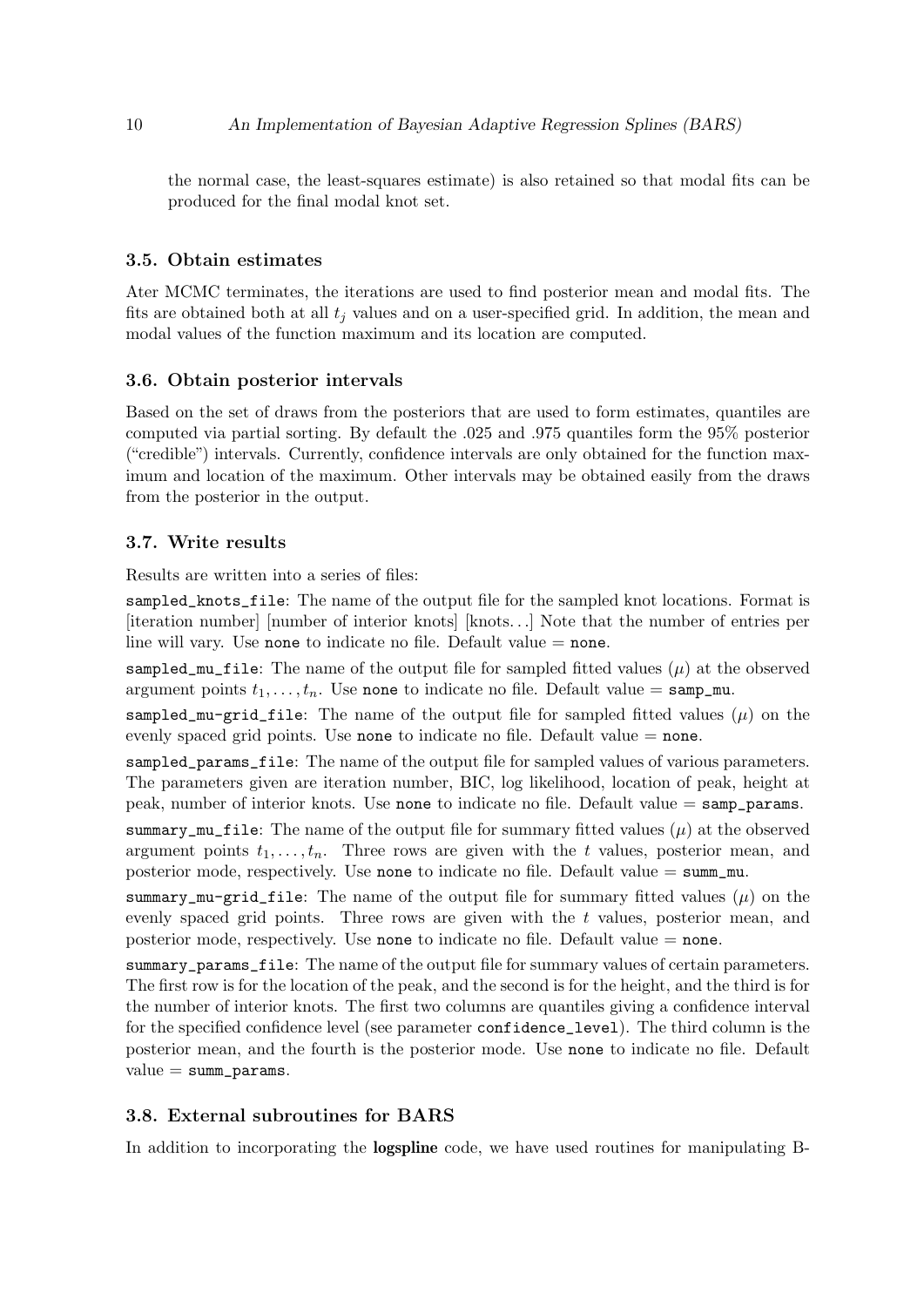the normal case, the least-squares estimate) is also retained so that modal fits can be produced for the final modal knot set.

#### 3.5. Obtain estimates

Ater MCMC terminates, the iterations are used to find posterior mean and modal fits. The fits are obtained both at all  $t_i$  values and on a user-specified grid. In addition, the mean and modal values of the function maximum and its location are computed.

#### 3.6. Obtain posterior intervals

Based on the set of draws from the posteriors that are used to form estimates, quantiles are computed via partial sorting. By default the .025 and .975 quantiles form the 95% posterior ("credible") intervals. Currently, confidence intervals are only obtained for the function maximum and location of the maximum. Other intervals may be obtained easily from the draws from the posterior in the output.

#### 3.7. Write results

Results are written into a series of files:

sampled\_knots\_file: The name of the output file for the sampled knot locations. Format is [iteration number] [number of interior knots] [knots. . .] Note that the number of entries per line will vary. Use none to indicate no file. Default value = none.

sampled\_mu\_file: The name of the output file for sampled fitted values  $(\mu)$  at the observed argument points  $t_1, \ldots, t_n$ . Use none to indicate no file. Default value = samp\_mu.

sampled\_mu-grid\_file: The name of the output file for sampled fitted values  $(\mu)$  on the evenly spaced grid points. Use none to indicate no file. Default value  $=$  none.

sampled\_params\_file: The name of the output file for sampled values of various parameters. The parameters given are iteration number, BIC, log likelihood, location of peak, height at peak, number of interior knots. Use none to indicate no file. Default value  $=$  samp\_params.

summary\_mu\_file: The name of the output file for summary fitted values  $(\mu)$  at the observed argument points  $t_1, \ldots, t_n$ . Three rows are given with the t values, posterior mean, and posterior mode, respectively. Use none to indicate no file. Default value  $= \text{summ\_mu}$ .

summary\_mu-grid\_file: The name of the output file for summary fitted values  $(\mu)$  on the evenly spaced grid points. Three rows are given with the t values, posterior mean, and posterior mode, respectively. Use none to indicate no file. Default value  $=$  none.

summary\_params\_file: The name of the output file for summary values of certain parameters. The first row is for the location of the peak, and the second is for the height, and the third is for the number of interior knots. The first two columns are quantiles giving a confidence interval for the specified confidence level (see parameter confidence\_level). The third column is the posterior mean, and the fourth is the posterior mode. Use none to indicate no file. Default  $value = summ\_params.$ 

#### 3.8. External subroutines for BARS

In addition to incorporating the logspline code, we have used routines for manipulating B-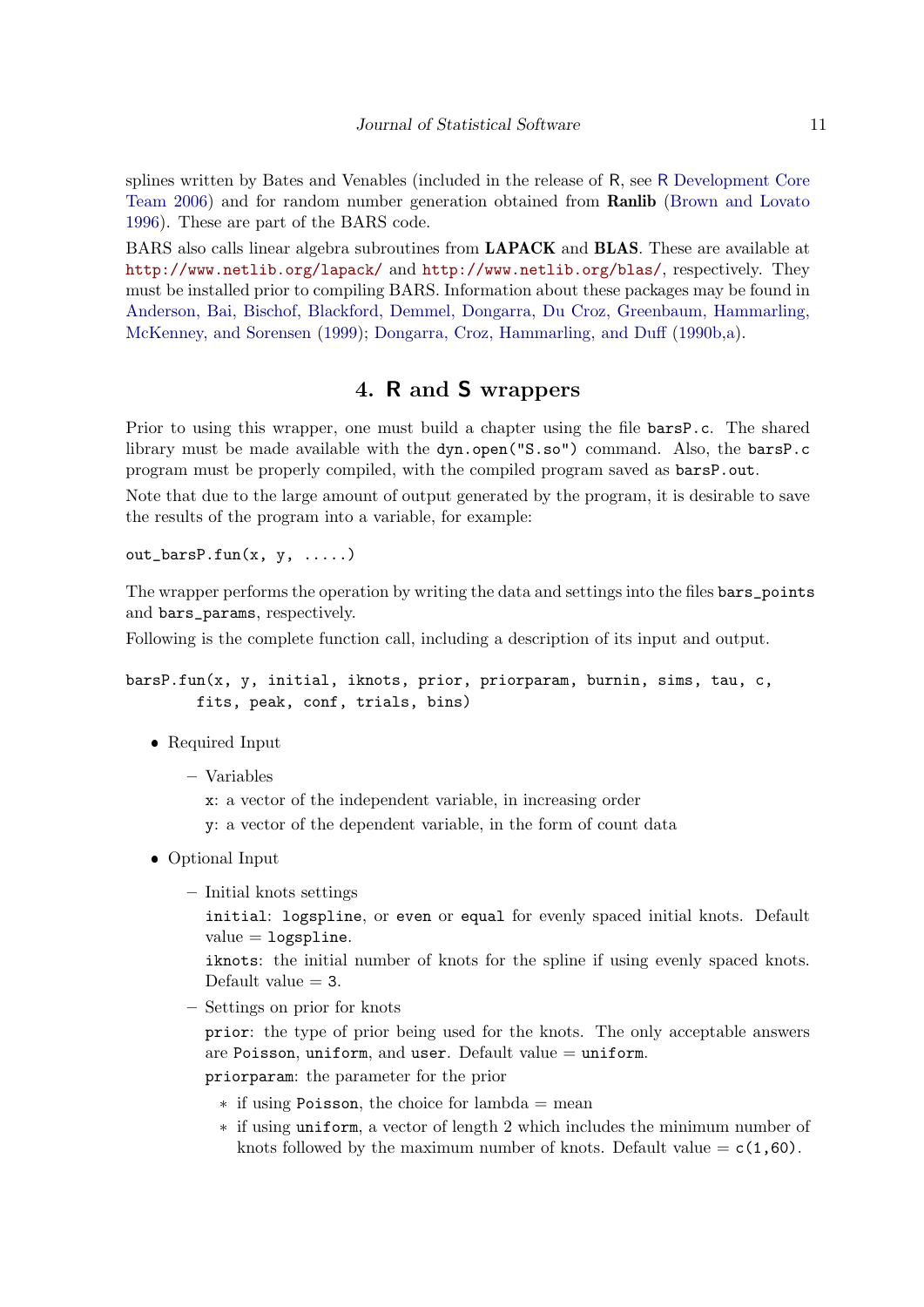splines written by Bates and Venables (included in the release of R, see R [Development Core](#page-19-13) [Team](#page-19-13) [2006\)](#page-19-13) and for random number generation obtained from Ranlib [\(Brown and Lovato](#page-18-3) [1996\)](#page-18-3). These are part of the BARS code.

BARS also calls linear algebra subroutines from LAPACK and BLAS. These are available at <http://www.netlib.org/lapack/> and <http://www.netlib.org/blas/>, respectively. They must be installed prior to compiling BARS. Information about these packages may be found in [Anderson, Bai, Bischof, Blackford, Demmel, Dongarra, Du Croz, Greenbaum, Hammarling,](#page-18-4) [McKenney, and Sorensen](#page-18-4) [\(1999\)](#page-18-4); [Dongarra, Croz, Hammarling, and Duff](#page-19-14) [\(1990b,](#page-19-14)[a\)](#page-19-15).

## 4. R and S wrappers

<span id="page-10-0"></span>Prior to using this wrapper, one must build a chapter using the file barsP.c. The shared library must be made available with the dyn.open("S.so") command. Also, the barsP.c program must be properly compiled, with the compiled program saved as barsP.out.

Note that due to the large amount of output generated by the program, it is desirable to save the results of the program into a variable, for example:

out\_barsP.fun $(x, y, \ldots)$ 

The wrapper performs the operation by writing the data and settings into the files bars\_points and bars\_params, respectively.

Following is the complete function call, including a description of its input and output.

barsP.fun(x, y, initial, iknots, prior, priorparam, burnin, sims, tau, c, fits, peak, conf, trials, bins)

- Required Input
	- Variables
		- x: a vector of the independent variable, in increasing order
		- y: a vector of the dependent variable, in the form of count data
- Optional Input
	- Initial knots settings

initial: logspline, or even or equal for evenly spaced initial knots. Default  $value = logsplitne.$ 

iknots: the initial number of knots for the spline if using evenly spaced knots. Default value  $=$  3.

– Settings on prior for knots

prior: the type of prior being used for the knots. The only acceptable answers are Poisson, uniform, and user. Default value = uniform.

priorparam: the parameter for the prior

- $*$  if using Poisson, the choice for lambda = mean
- \* if using uniform, a vector of length 2 which includes the minimum number of knots followed by the maximum number of knots. Default value  $= c(1,60)$ .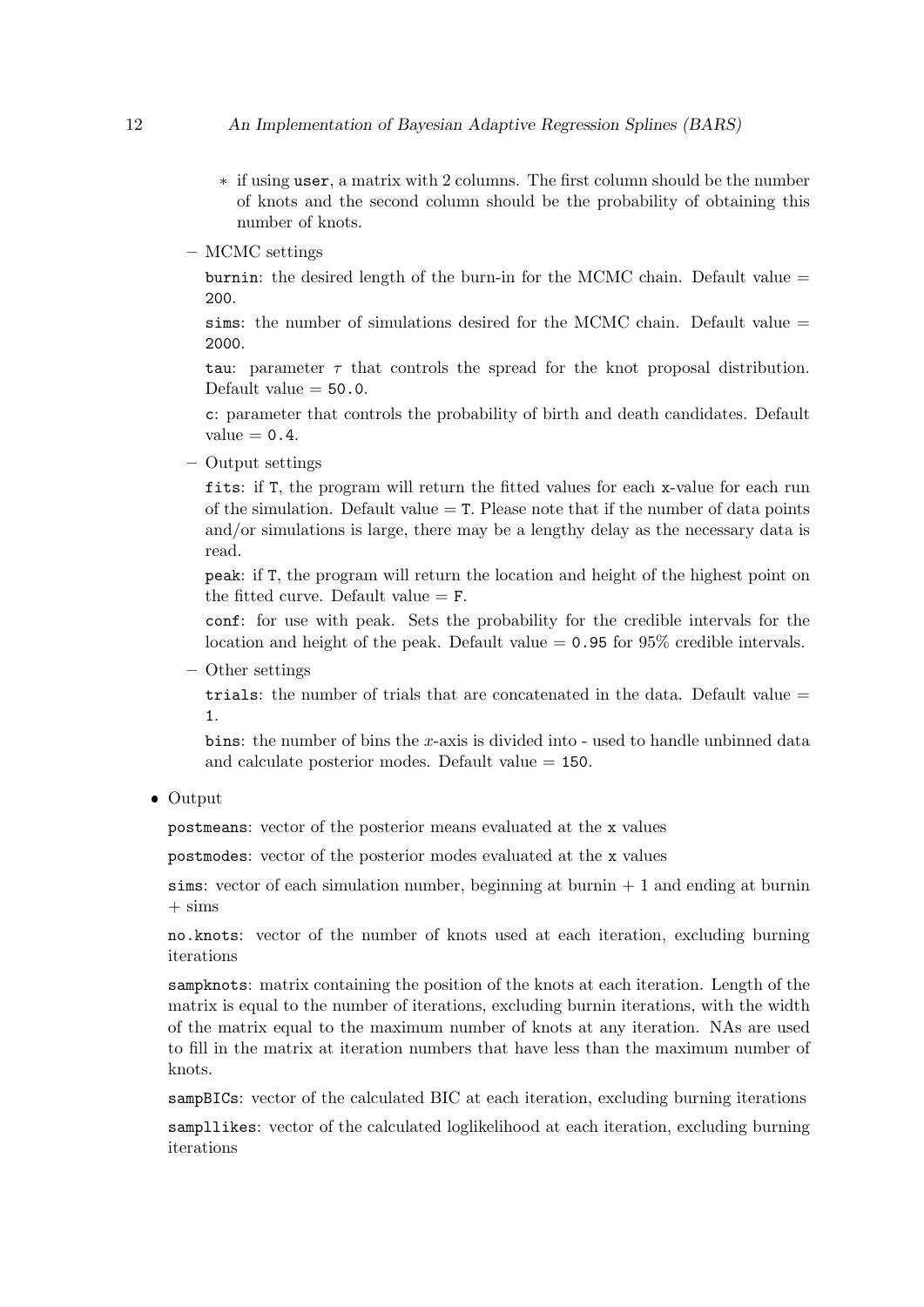- \* if using user, a matrix with 2 columns. The first column should be the number of knots and the second column should be the probability of obtaining this number of knots.
- MCMC settings

burnin: the desired length of the burn-in for the MCMC chain. Default value  $=$ 200.

sims: the number of simulations desired for the MCMC chain. Default value  $=$ 2000.

tau: parameter  $\tau$  that controls the spread for the knot proposal distribution. Default value  $= 50.0$ .

c: parameter that controls the probability of birth and death candidates. Default value  $= 0.4$ .

– Output settings

fits: if T, the program will return the fitted values for each x-value for each run of the simulation. Default value  $=$  T. Please note that if the number of data points and/or simulations is large, there may be a lengthy delay as the necessary data is read.

peak: if T, the program will return the location and height of the highest point on the fitted curve. Default value  $=$  F.

conf: for use with peak. Sets the probability for the credible intervals for the location and height of the peak. Default value  $= 0.95$  for 95% credible intervals.

– Other settings

trials: the number of trials that are concatenated in the data. Default value = 1.

bins: the number of bins the x-axis is divided into  $\overline{\ }$ -used to handle unbinned data and calculate posterior modes. Default value = 150.

• Output

postmeans: vector of the posterior means evaluated at the x values

postmodes: vector of the posterior modes evaluated at the x values

sims: vector of each simulation number, beginning at burnin  $+1$  and ending at burnin  $+ \text{sims}$ 

no.knots: vector of the number of knots used at each iteration, excluding burning iterations

sampknots: matrix containing the position of the knots at each iteration. Length of the matrix is equal to the number of iterations, excluding burnin iterations, with the width of the matrix equal to the maximum number of knots at any iteration. NAs are used to fill in the matrix at iteration numbers that have less than the maximum number of knots.

sampBICs: vector of the calculated BIC at each iteration, excluding burning iterations

sampllikes: vector of the calculated loglikelihood at each iteration, excluding burning iterations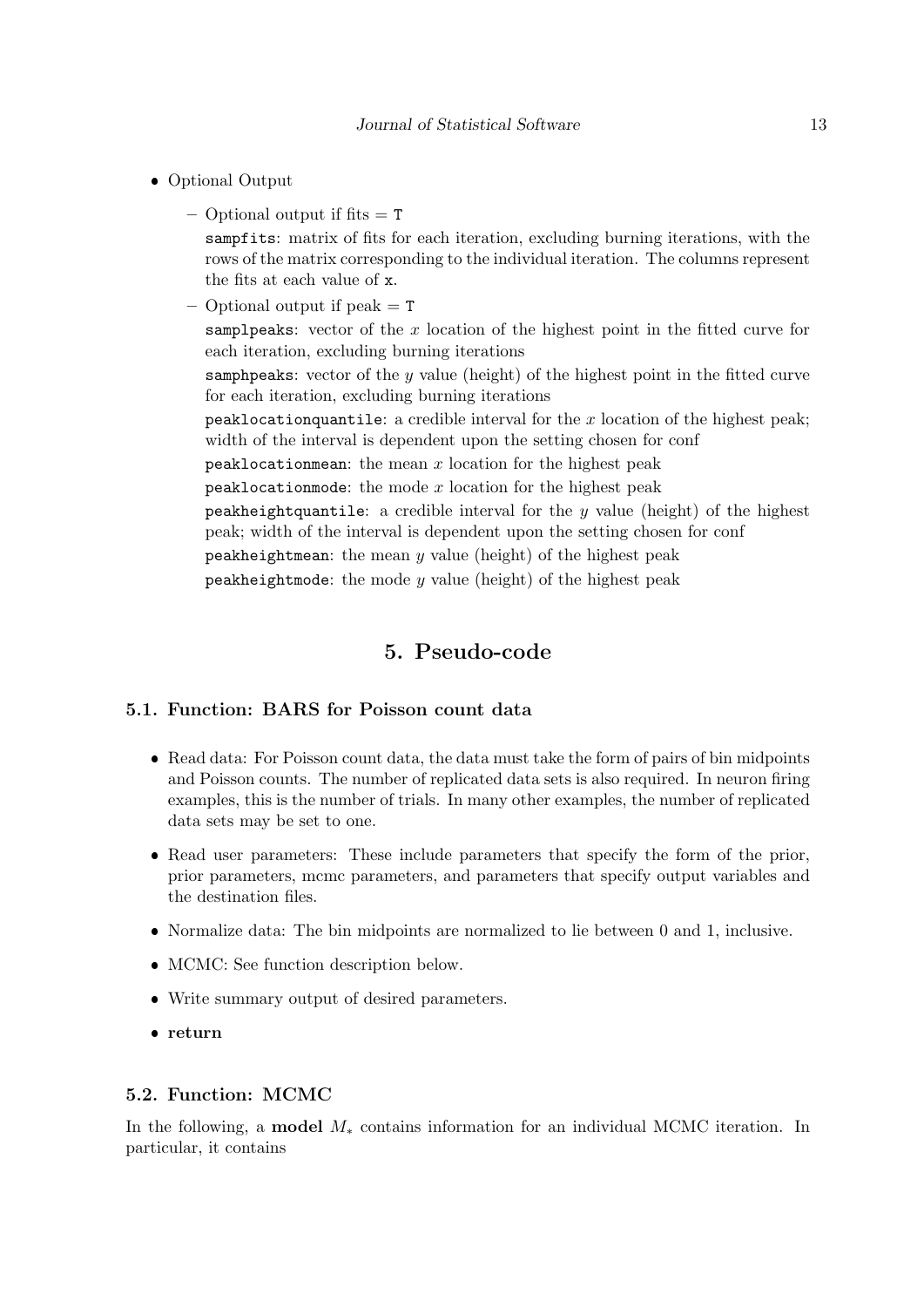- Optional Output
	- $-$  Optional output if fits  $=$  T sampfits: matrix of fits for each iteration, excluding burning iterations, with the rows of the matrix corresponding to the individual iteration. The columns represent the fits at each value of x.
	- $-$  Optional output if peak  $=$  T

samplpeaks: vector of the  $x$  location of the highest point in the fitted curve for each iteration, excluding burning iterations

samphights: vector of the  $y$  value (height) of the highest point in the fitted curve for each iteration, excluding burning iterations

peaklocation quantile: a credible interval for the  $x$  location of the highest peak; width of the interval is dependent upon the setting chosen for conf

peaklocationmean: the mean  $x$  location for the highest peak

peaklocation mode: the mode  $x$  location for the highest peak

peakheightquantile: a credible interval for the  $y$  value (height) of the highest peak; width of the interval is dependent upon the setting chosen for conf

peakheightmean: the mean  $y$  value (height) of the highest peak

peakheightmode: the mode  $y$  value (height) of the highest peak

## 5. Pseudo-code

#### <span id="page-12-0"></span>5.1. Function: BARS for Poisson count data

- Read data: For Poisson count data, the data must take the form of pairs of bin midpoints and Poisson counts. The number of replicated data sets is also required. In neuron firing examples, this is the number of trials. In many other examples, the number of replicated data sets may be set to one.
- Read user parameters: These include parameters that specify the form of the prior, prior parameters, mcmc parameters, and parameters that specify output variables and the destination files.
- Normalize data: The bin midpoints are normalized to lie between 0 and 1, inclusive.
- MCMC: See function description below.
- Write summary output of desired parameters.
- return

#### 5.2. Function: MCMC

In the following, a **model**  $M_*$  contains information for an individual MCMC iteration. In particular, it contains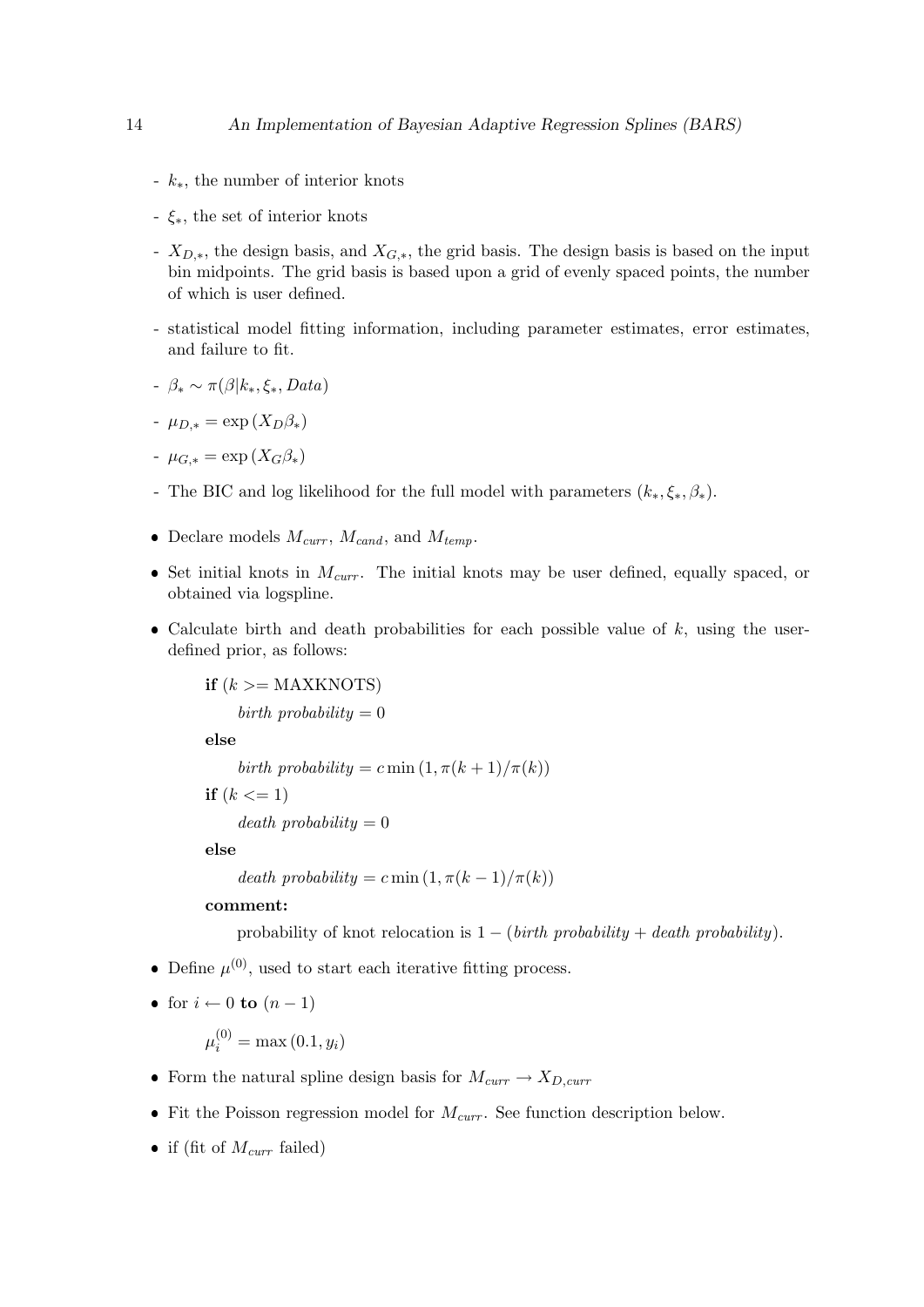- k∗, the number of interior knots
- ξ∗, the set of interior knots
- $X_{D,*}$ , the design basis, and  $X_{G,*}$ , the grid basis. The design basis is based on the input bin midpoints. The grid basis is based upon a grid of evenly spaced points, the number of which is user defined.
- statistical model fitting information, including parameter estimates, error estimates, and failure to fit.
- $-\beta_* \sim \pi(\beta|k_*,\xi_*, Data)$

$$
- \mu_{D,*} = \exp(X_D \beta_*)
$$

$$
- \mu_{G,*} = \exp\left(X_G \beta_*\right)
$$

- The BIC and log likelihood for the full model with parameters  $(k_*, \xi_*, \beta_*).$
- Declare models  $M_{curr}$ ,  $M_{cand}$ , and  $M_{temp}$ .
- $\bullet$  Set initial knots in  $M_{curr}$ . The initial knots may be user defined, equally spaced, or obtained via logspline.
- Calculate birth and death probabilities for each possible value of  $k$ , using the userdefined prior, as follows:

if  $(k \geq MAXKNOTS)$ birth probability  $= 0$ else birth probability = c min  $(1, \pi(k+1)/\pi(k))$ 

 $death$  probability = 0

else

```
death probability = c min (1, \pi(k-1)/\pi(k))
```
#### comment:

if  $(k \leq 1)$ 

probability of knot relocation is  $1 - (birth\ probability + death\ probability).$ 

• Define  $\mu^{(0)}$ , used to start each iterative fitting process.

```
• for i \leftarrow 0 to (n-1)
```
 $\mu_i^{(0)} = \max(0.1, y_i)$ 

- Form the natural spline design basis for  $M_{curr} \rightarrow X_{D,curr}$
- Fit the Poisson regression model for  $M_{curr}$ . See function description below.
- if (fit of  $M_{curr}$  failed)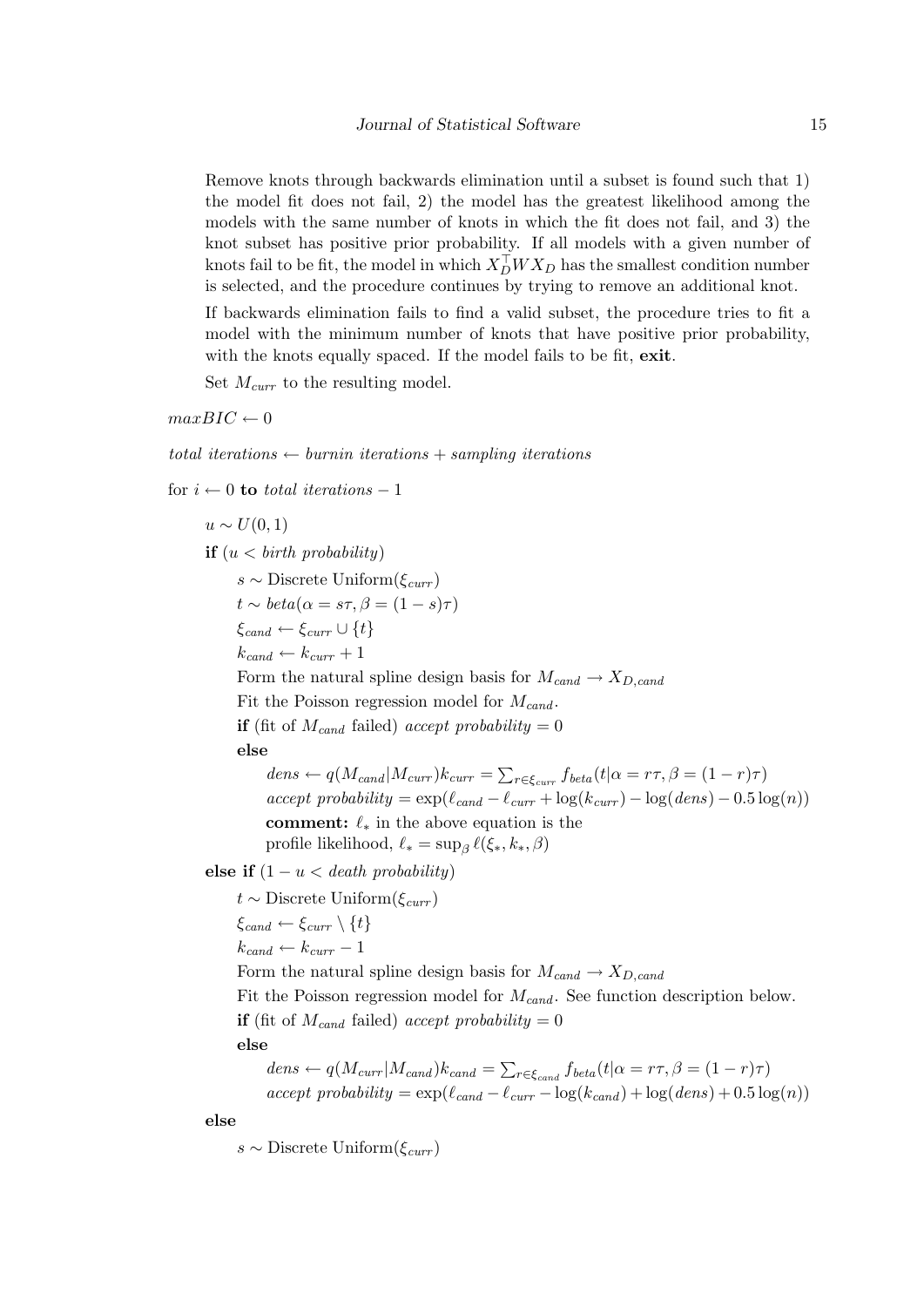Remove knots through backwards elimination until a subset is found such that 1) the model fit does not fail, 2) the model has the greatest likelihood among the models with the same number of knots in which the fit does not fail, and 3) the knot subset has positive prior probability. If all models with a given number of knots fail to be fit, the model in which  $X_{D}^{\top}WX_{D}$  has the smallest condition number is selected, and the procedure continues by trying to remove an additional knot.

If backwards elimination fails to find a valid subset, the procedure tries to fit a model with the minimum number of knots that have positive prior probability, with the knots equally spaced. If the model fails to be fit, exit.

Set  $M_{curr}$  to the resulting model.

 $maxBIC \leftarrow 0$ 

total iterations  $\leftarrow$  burnin iterations + sampling iterations

for  $i \leftarrow 0$  to total iterations – 1

 $u \sim U(0, 1)$ if  $(u < \text{birth probability})$ s ∼ Discrete Uniform $(\xi_{curr})$  $t \sim beta(\alpha = s\tau, \beta = (1 - s)\tau)$  $\xi_{cand} \leftarrow \xi_{curr} \cup \{t\}$  $k_{cand} \leftarrow k_{curr} + 1$ Form the natural spline design basis for  $M_{cand} \rightarrow X_{D, cand}$ Fit the Poisson regression model for  $M_{cand}$ . **if** (fit of  $M_{cand}$  failed) accept probability = 0 else  $dens \leftarrow q(M_{cand}|M_{curr})k_{curr} = \sum_{r \in \xi_{curr}} f_{beta}(t|\alpha = r\tau, \beta = (1-r)\tau)$  $accept \ probability = \exp(\ell_{cand} - \ell_{curr} + \log(k_{curr}) - \log(dens) - 0.5 \log(n))$ comment:  $\ell_*$  in the above equation is the profile likelihood,  $\ell_* = \sup_{\beta} \ell(\xi_*, k_*, \beta)$ else if  $(1 - u <$  death probability)  $t$  ∼ Discrete Uniform( $\xi_{curr}$ )  $\xi_{cand} \leftarrow \xi_{curr} \setminus \{t\}$  $k_{cand} \leftarrow k_{curr} - 1$ Form the natural spline design basis for  $M_{cand} \rightarrow X_{D, cand}$ Fit the Poisson regression model for  $M_{cand}$ . See function description below. if (fit of  $M_{cand}$  failed) accept probability = 0 else  $dens \leftarrow q(M_{curr}|M_{cand})k_{cand} = \sum_{r \in \xi_{cand}} f_{beta}(t|\alpha = r\tau, \beta = (1-r)\tau)$ 

 $accept \ probability = \exp(\ell_{cand} - \ell_{curr} - \log(k_{cand}) + \log(dens) + 0.5 \log(n))$ 

else

s ∼ Discrete Uniform $(\xi_{curr})$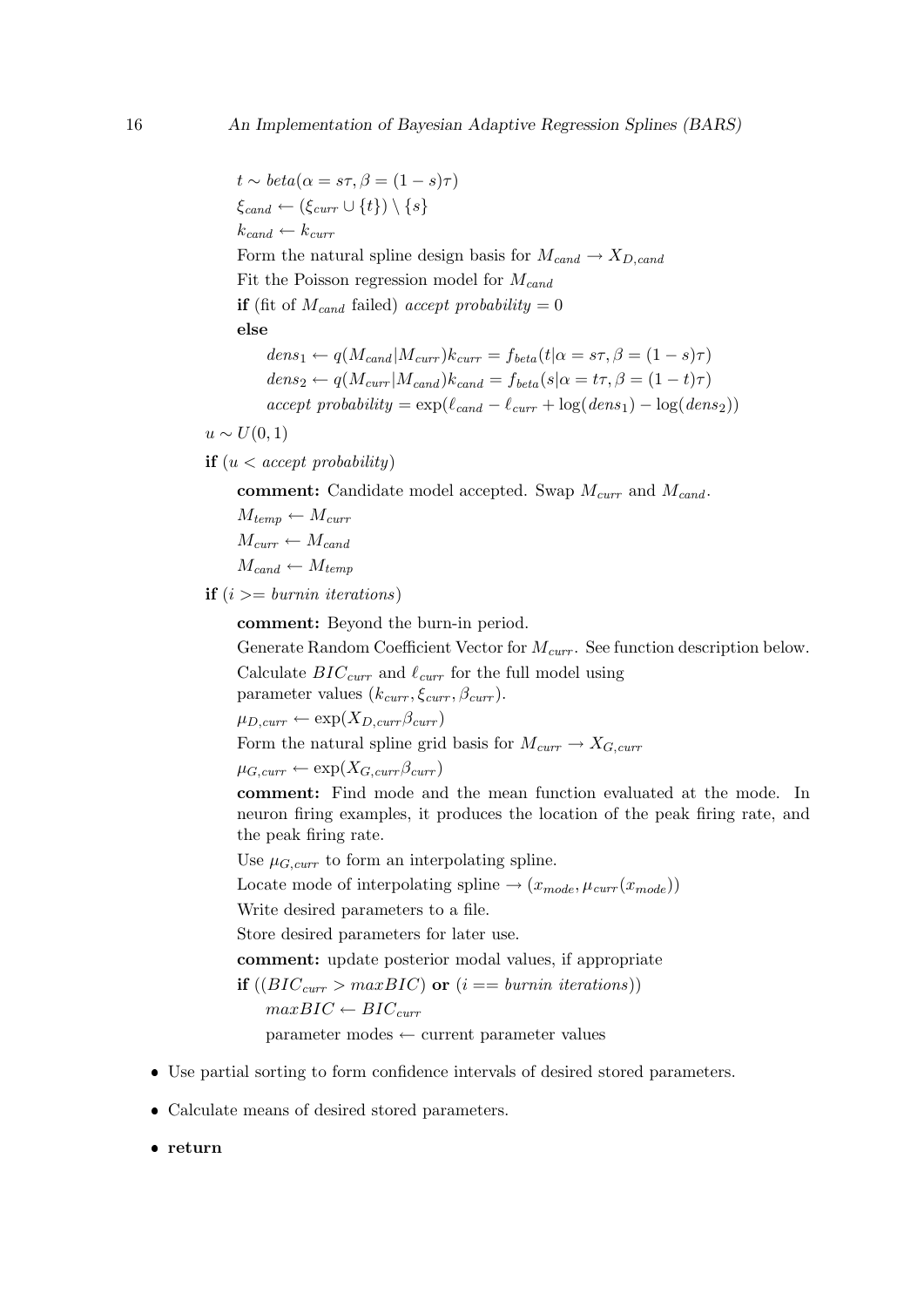$t \sim beta(\alpha = s\tau, \beta = (1 - s)\tau)$  $\xi_{cand} \leftarrow (\xi_{curr} \cup \{t\}) \setminus \{s\}$  $k_{cand} \leftarrow k_{curr}$ Form the natural spline design basis for  $M_{cand} \rightarrow X_{D, cand}$ Fit the Poisson regression model for  $M_{cand}$ **if** (fit of  $M_{cand}$  failed) accept probability = 0 else  $dens_1 \leftarrow q(M_{cand}|M_{curr})k_{curr} = f_{beta}(t|\alpha = s\tau, \beta = (1-s)\tau)$  $dens_2 \leftarrow q(M_{curr}|M_{cand})k_{cand} = f_{beta}(s|\alpha = t\tau, \beta = (1-t)\tau)$ 

 $accept \ probability = \exp(\ell_{cand} - \ell_{curr} + \log(dens_1) - \log(dens_2))$ 

 $u \sim U(0,1)$ 

**if**  $(u < accept probability)$ 

comment: Candidate model accepted. Swap  $M_{curr}$  and  $M_{cand}$ .

 $M_{temp} \leftarrow M_{curr}$  $M_{curr} \leftarrow M_{cand}$  $M_{cand} \leftarrow M_{temp}$ 

**if**  $(i \geq burnin$  *iterations*)

comment: Beyond the burn-in period.

Generate Random Coefficient Vector for  $M_{curr}$ . See function description below.

Calculate  $BIC_{curr}$  and  $\ell_{curr}$  for the full model using

parameter values  $(k_{curr}, \xi_{curr}, \beta_{curr})$ .

 $\mu_{D,curr} \leftarrow \exp(X_{D,curr} \beta_{curr})$ 

Form the natural spline grid basis for  $M_{curr} \rightarrow X_{G,curr}$ 

 $\mu_{G,curr} \leftarrow \exp(X_{G,curr} \beta_{curr})$ 

comment: Find mode and the mean function evaluated at the mode. In neuron firing examples, it produces the location of the peak firing rate, and the peak firing rate.

Use  $\mu_{G,curr}$  to form an interpolating spline.

Locate mode of interpolating spline  $\rightarrow (x_{mode}, \mu_{curr}(x_{mode}))$ 

Write desired parameters to a file.

Store desired parameters for later use.

comment: update posterior modal values, if appropriate

if  $((BIC_{curr} > maxBIC)$  or  $(i == burnin iterations))$  $maxBIC \leftarrow BIC_{curr}$ parameter modes ← current parameter values

- Use partial sorting to form confidence intervals of desired stored parameters.
- Calculate means of desired stored parameters.
- return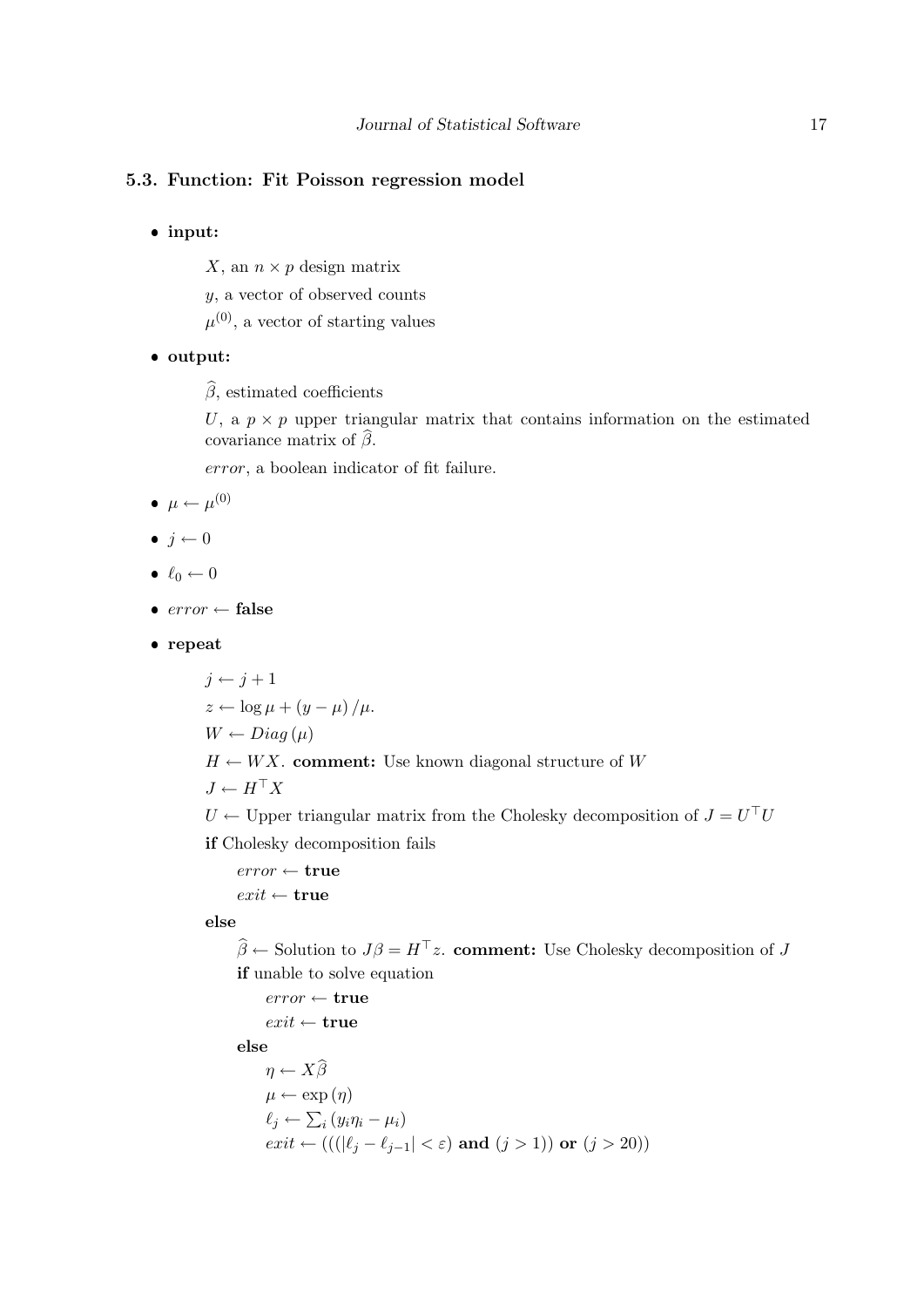### 5.3. Function: Fit Poisson regression model

input:

X, an  $n \times p$  design matrix

y, a vector of observed counts

 $\mu^{(0)}$ , a vector of starting values

## output:

 $\widehat{\beta}$ , estimated coefficients

U, a  $p \times p$  upper triangular matrix that contains information on the estimated covariance matrix of  $\beta$ .

error, a boolean indicator of fit failure.

$$
\bullet \ \mu \leftarrow \mu^{(0)}
$$

- $\bullet$   $j \leftarrow 0$
- $\bullet \ell_0 \leftarrow 0$
- $error \leftarrow false$
- repeat

$$
j \leftarrow j + 1
$$
  
\n
$$
z \leftarrow \log \mu + (y - \mu) / \mu.
$$
  
\n
$$
W \leftarrow Diag(\mu)
$$
  
\n
$$
H \leftarrow WX.
$$
 comment: Use known diagonal structure of  $W$   
\n
$$
J \leftarrow H^{\top}X
$$

 $U \leftarrow$  Upper triangular matrix from the Cholesky decomposition of  $J = U^{\top}U$ if Cholesky decomposition fails

 $error \leftarrow true$  $exit \leftarrow true$ 

#### else

 $\hat{\beta} \leftarrow$  Solution to  $J\beta = H^{\top}z$ . comment: Use Cholesky decomposition of J if unable to solve equation

 $error \leftarrow true$  $exit \leftarrow true$ 

else

$$
\eta \leftarrow X\widehat{\beta}
$$
  
\n
$$
\mu \leftarrow \exp(\eta)
$$
  
\n
$$
\ell_j \leftarrow \sum_i (y_i \eta_i - \mu_i)
$$
  
\n
$$
exit \leftarrow (((|\ell_j - \ell_{j-1}| < \varepsilon) \text{ and } (j > 1)) \text{ or } (j > 20))
$$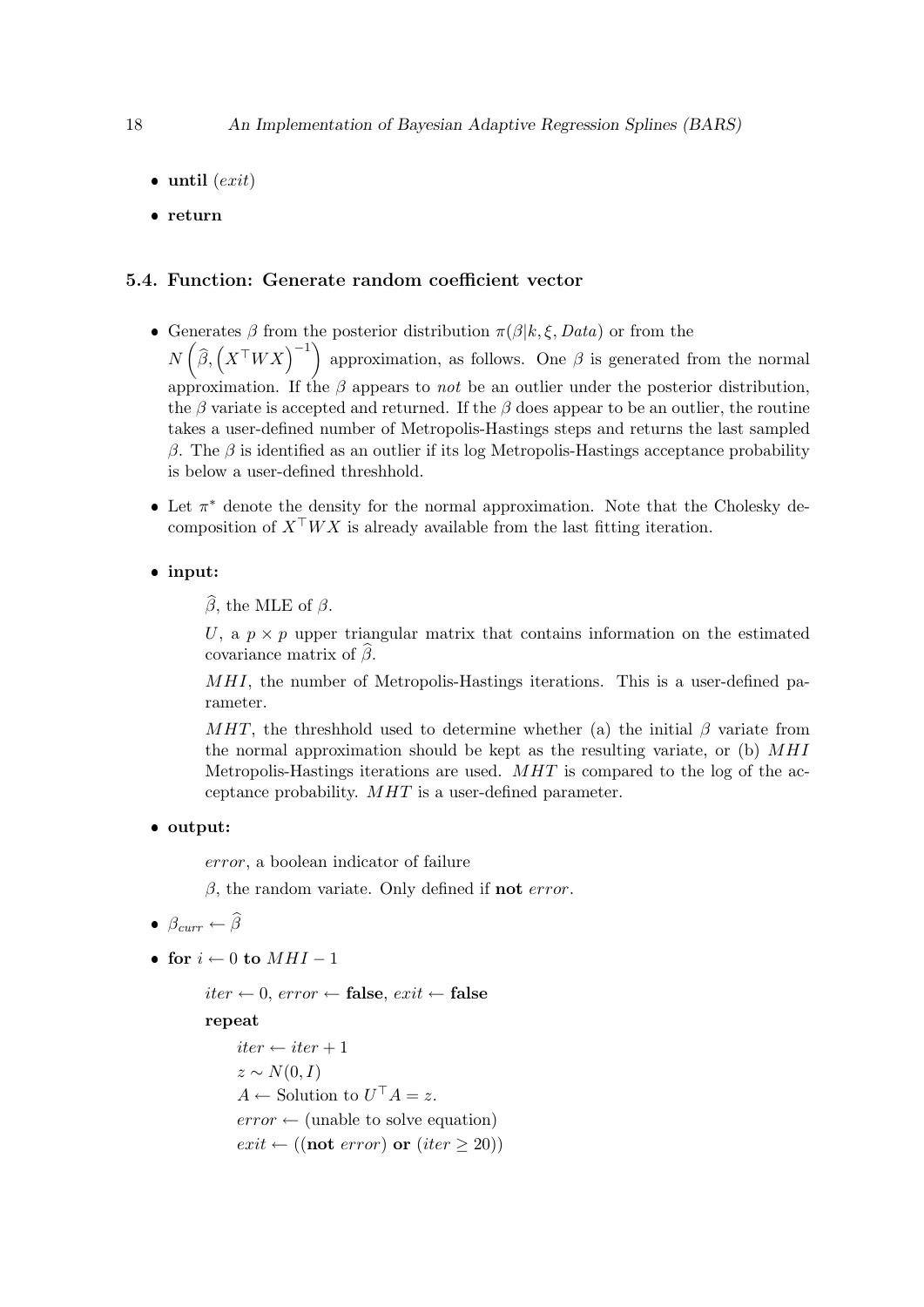- $\bullet$  until  $(exit)$
- return

#### 5.4. Function: Generate random coefficient vector

- Generates  $\beta$  from the posterior distribution  $\pi(\beta|k,\xi, Data)$  or from the  $N\left(\widehat{\beta}, \left(X^{\top}WX\right)^{-1}\right)$  approximation, as follows. One  $\beta$  is generated from the normal approximation. If the  $\beta$  appears to not be an outlier under the posterior distribution, the  $\beta$  variate is accepted and returned. If the  $\beta$  does appear to be an outlier, the routine takes a user-defined number of Metropolis-Hastings steps and returns the last sampled β. The β is identified as an outlier if its log Metropolis-Hastings acceptance probability is below a user-defined threshhold.
- Let  $\pi^*$  denote the density for the normal approximation. Note that the Cholesky decomposition of  $X^{\top}WX$  is already available from the last fitting iteration.
- input:

 $\widehat{\beta}$ , the MLE of  $\beta$ .

U, a  $p \times p$  upper triangular matrix that contains information on the estimated covariance matrix of  $\beta$ .

MHI, the number of Metropolis-Hastings iterations. This is a user-defined parameter.

MHT, the threshhold used to determine whether (a) the initial  $\beta$  variate from the normal approximation should be kept as the resulting variate, or (b)  $MHI$ Metropolis-Hastings iterations are used. MHT is compared to the log of the acceptance probability. MHT is a user-defined parameter.

output:

error, a boolean indicator of failure

 $\beta$ , the random variate. Only defined if **not** error.

- $\beta_{curr} \leftarrow \widehat{\beta}$
- for  $i \leftarrow 0$  to  $MHI 1$

iter ← 0, error ← false, exit ← false

repeat

 $iter \leftarrow iter + 1$  $z \sim N(0, I)$  $A \leftarrow$  Solution to  $U^{\top} A = z$ .  $error \leftarrow$  (unable to solve equation)  $exit \leftarrow ((\textbf{not } error) \textbf{ or } (iter \geq 20))$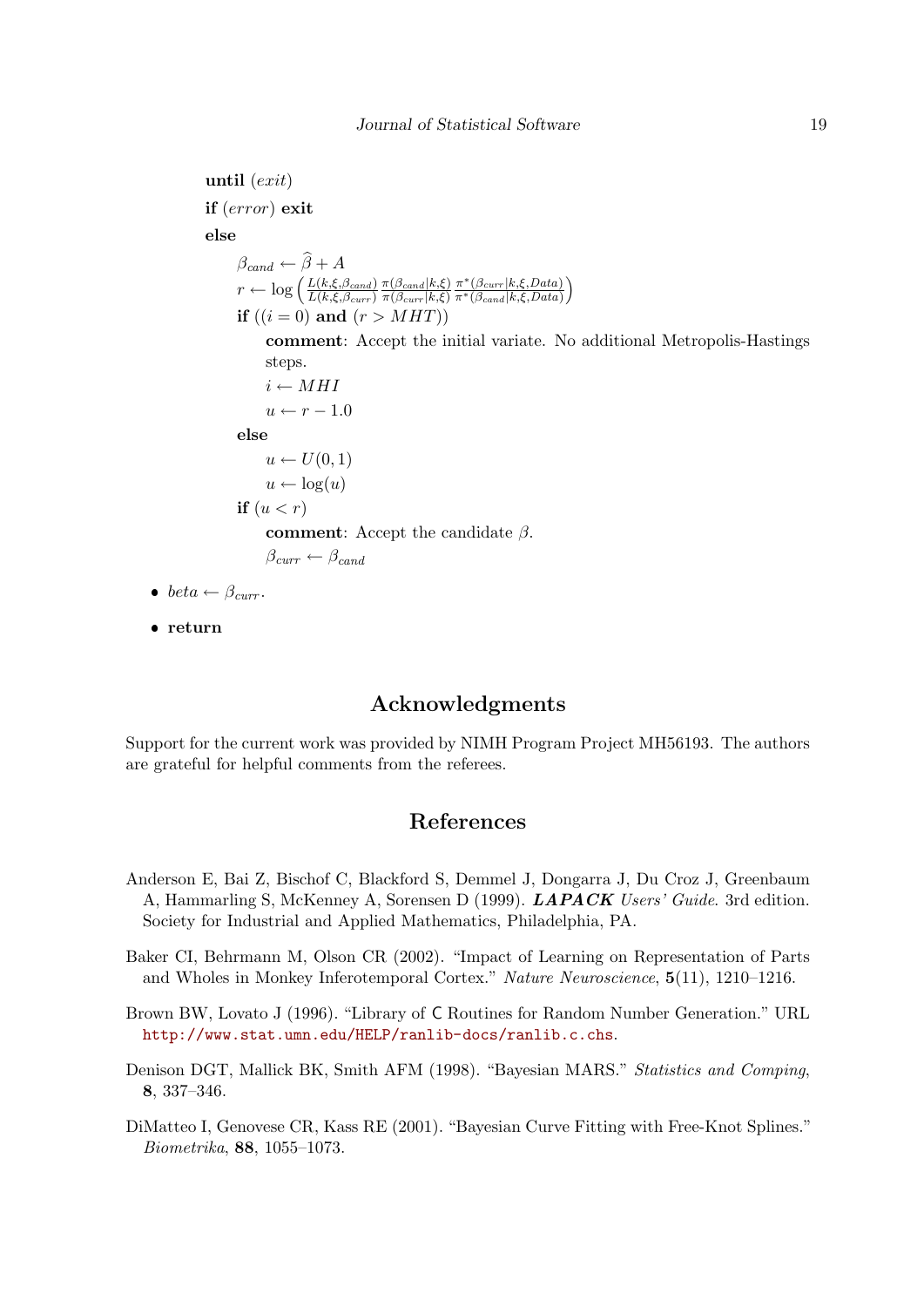until  $(exit)$ if (error) exit else  $\beta_{cand} \leftarrow \widehat{\beta} + A$  $r \leftarrow \log \left( \frac{L(k,\xi,\beta_{cand})}{L(k,\xi,\beta)} \right)$  $L(k,\xi,\beta_{curr})$  $\pi(\beta_{cand}|k,\xi)$  $\pi(\beta_{curr} | k, \xi)$  $\pi^*(\beta_{curr} | k, \xi, Data)$  $\overline{\pi^*(\beta_{cand}|k,\xi,Data)}$  $\setminus$ if  $((i = 0)$  and  $(r > MHT))$ comment: Accept the initial variate. No additional Metropolis-Hastings steps.  $i \leftarrow MHI$  $u \leftarrow r - 1.0$ else  $u \leftarrow U(0, 1)$  $u \leftarrow \log(u)$ if  $(u < r)$ comment: Accept the candidate  $\beta$ .  $\beta_{curr} \leftarrow \beta_{cand}$ • beta  $\leftarrow \beta_{curr}$ .

• return

## Acknowledgments

Support for the current work was provided by NIMH Program Project MH56193. The authors are grateful for helpful comments from the referees.

## References

- <span id="page-18-4"></span>Anderson E, Bai Z, Bischof C, Blackford S, Demmel J, Dongarra J, Du Croz J, Greenbaum A, Hammarling S, McKenney A, Sorensen D (1999). LAPACK Users' Guide. 3rd edition. Society for Industrial and Applied Mathematics, Philadelphia, PA.
- <span id="page-18-1"></span>Baker CI, Behrmann M, Olson CR (2002). "Impact of Learning on Representation of Parts and Wholes in Monkey Inferotemporal Cortex." Nature Neuroscience, 5(11), 1210–1216.
- <span id="page-18-3"></span>Brown BW, Lovato J (1996). "Library of C Routines for Random Number Generation." URL <http://www.stat.umn.edu/HELP/ranlib-docs/ranlib.c.chs>.
- <span id="page-18-2"></span>Denison DGT, Mallick BK, Smith AFM (1998). "Bayesian MARS." Statistics and Comping, 8, 337–346.
- <span id="page-18-0"></span>DiMatteo I, Genovese CR, Kass RE (2001). "Bayesian Curve Fitting with Free-Knot Splines." Biometrika, 88, 1055–1073.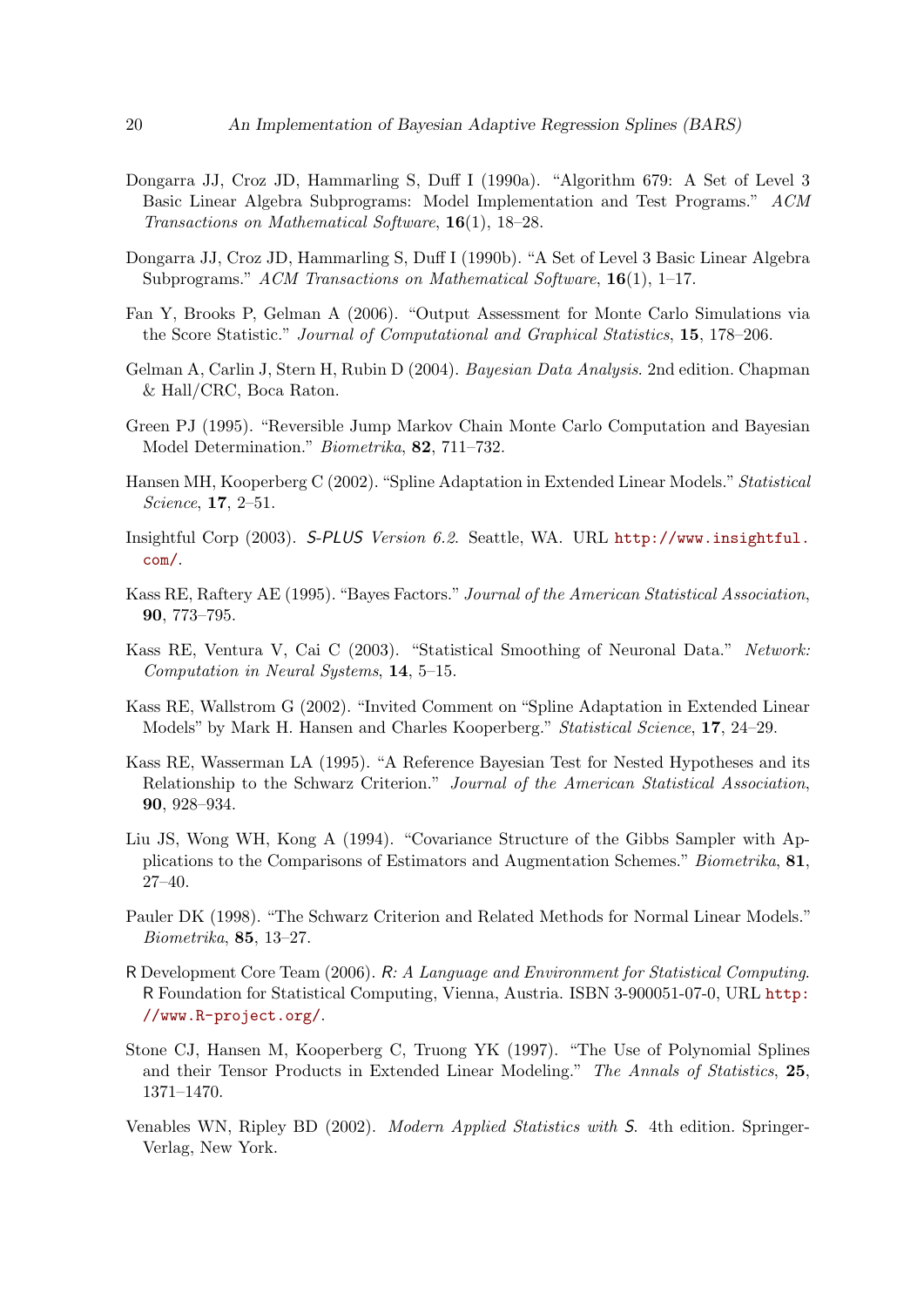- <span id="page-19-15"></span>Dongarra JJ, Croz JD, Hammarling S, Duff I (1990a). "Algorithm 679: A Set of Level 3 Basic Linear Algebra Subprograms: Model Implementation and Test Programs." ACM Transactions on Mathematical Software, 16(1), 18–28.
- <span id="page-19-14"></span>Dongarra JJ, Croz JD, Hammarling S, Duff I (1990b). "A Set of Level 3 Basic Linear Algebra Subprograms." ACM Transactions on Mathematical Software, 16(1), 1–17.
- <span id="page-19-12"></span>Fan Y, Brooks P, Gelman A (2006). "Output Assessment for Monte Carlo Simulations via the Score Statistic." Journal of Computational and Graphical Statistics, 15, 178–206.
- <span id="page-19-11"></span>Gelman A, Carlin J, Stern H, Rubin D (2004). Bayesian Data Analysis. 2nd edition. Chapman & Hall/CRC, Boca Raton.
- <span id="page-19-7"></span>Green PJ (1995). "Reversible Jump Markov Chain Monte Carlo Computation and Bayesian Model Determination." Biometrika, 82, 711–732.
- <span id="page-19-1"></span>Hansen MH, Kooperberg C (2002). "Spline Adaptation in Extended Linear Models." Statistical Science, 17, 2–51.
- <span id="page-19-5"></span>Insightful Corp (2003). S-PLUS Version 6.2. Seattle, WA. URL [http://www.insightful.](http://www.insightful.com/) [com/](http://www.insightful.com/).
- <span id="page-19-6"></span>Kass RE, Raftery AE (1995). "Bayes Factors." Journal of the American Statistical Association, 90, 773–795.
- <span id="page-19-3"></span>Kass RE, Ventura V, Cai C (2003). "Statistical Smoothing of Neuronal Data." Network: Computation in Neural Systems, 14, 5–15.
- <span id="page-19-4"></span>Kass RE, Wallstrom G (2002). "Invited Comment on "Spline Adaptation in Extended Linear Models" by Mark H. Hansen and Charles Kooperberg." Statistical Science, 17, 24–29.
- <span id="page-19-9"></span>Kass RE, Wasserman LA (1995). "A Reference Bayesian Test for Nested Hypotheses and its Relationship to the Schwarz Criterion." Journal of the American Statistical Association, 90, 928–934.
- <span id="page-19-8"></span>Liu JS, Wong WH, Kong A (1994). "Covariance Structure of the Gibbs Sampler with Applications to the Comparisons of Estimators and Augmentation Schemes." Biometrika, 81, 27–40.
- <span id="page-19-10"></span>Pauler DK (1998). "The Schwarz Criterion and Related Methods for Normal Linear Models." Biometrika, 85, 13–27.
- <span id="page-19-13"></span>R Development Core Team (2006). R: A Language and Environment for Statistical Computing. R Foundation for Statistical Computing, Vienna, Austria. ISBN 3-900051-07-0, URL [http:](http://www.R-project.org/) [//www.R-project.org/](http://www.R-project.org/).
- <span id="page-19-2"></span>Stone CJ, Hansen M, Kooperberg C, Truong YK (1997). "The Use of Polynomial Splines and their Tensor Products in Extended Linear Modeling." The Annals of Statistics, 25, 1371–1470.
- <span id="page-19-0"></span>Venables WN, Ripley BD (2002). Modern Applied Statistics with S. 4th edition. Springer-Verlag, New York.